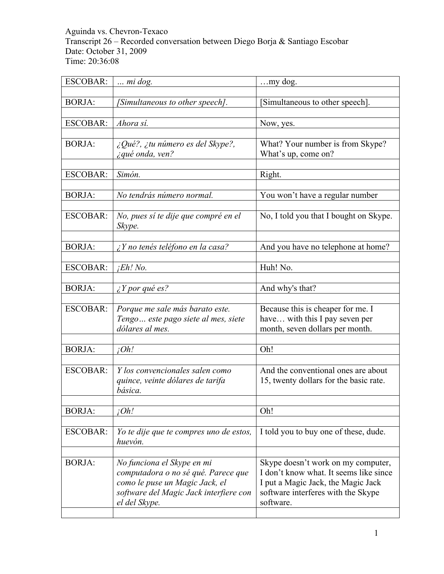### Aguinda vs. Chevron-Texaco Transcript 26 – Recorded conversation between Diego Borja & Santiago Escobar Date: October 31, 2009 Time: 20:36:08

| <b>ESCOBAR:</b> | $\ldots$ mi dog.                          | my dog.                                |
|-----------------|-------------------------------------------|----------------------------------------|
|                 |                                           |                                        |
| <b>BORJA:</b>   | [Simultaneous to other speech].           | [Simultaneous to other speech].        |
|                 |                                           |                                        |
| <b>ESCOBAR:</b> | Ahora sí.                                 | Now, yes.                              |
|                 |                                           |                                        |
| <b>BORJA:</b>   | ¿Qué?, ¿tu número es del Skype?,          | What? Your number is from Skype?       |
|                 | ¿qué onda, ven?                           | What's up, come on?                    |
|                 |                                           |                                        |
| <b>ESCOBAR:</b> | Simón.                                    | Right.                                 |
|                 |                                           |                                        |
| <b>BORJA:</b>   | No tendrás número normal.                 | You won't have a regular number        |
|                 |                                           |                                        |
| <b>ESCOBAR:</b> | No, pues sí te dije que compré en el      | No, I told you that I bought on Skype. |
|                 | Skype.                                    |                                        |
|                 |                                           |                                        |
| <b>BORJA:</b>   | $\lambda$ Y no tenés teléfono en la casa? | And you have no telephone at home?     |
| <b>ESCOBAR:</b> | $iEh!$ No.                                | Huh! No.                               |
|                 |                                           |                                        |
| <b>BORJA:</b>   | $\lambda$ Y por qué es?                   | And why's that?                        |
|                 |                                           |                                        |
| <b>ESCOBAR:</b> | Porque me sale más barato este.           | Because this is cheaper for me. I      |
|                 | Tengo este pago siete al mes, siete       | have with this I pay seven per         |
|                 | dólares al mes.                           | month, seven dollars per month.        |
|                 |                                           |                                        |
| <b>BORJA:</b>   | iOh!                                      | Oh!                                    |
|                 |                                           |                                        |
| <b>ESCOBAR:</b> | Y los convencionales salen como           | And the conventional ones are about    |
|                 | quince, veinte dólares de tarifa          | 15, twenty dollars for the basic rate. |
|                 | básica.                                   |                                        |
|                 |                                           |                                        |
| <b>BORJA:</b>   | ¡Oh!                                      | Oh!                                    |
|                 |                                           |                                        |
| <b>ESCOBAR:</b> | Yo te dije que te compres uno de estos,   | I told you to buy one of these, dude.  |
|                 | huevón.                                   |                                        |
|                 |                                           |                                        |
| <b>BORJA:</b>   | No funciona el Skype en mi                | Skype doesn't work on my computer,     |
|                 | computadora o no sé qué. Parece que       | I don't know what. It seems like since |
|                 | como le puse un Magic Jack, el            | I put a Magic Jack, the Magic Jack     |
|                 | software del Magic Jack interfiere con    | software interferes with the Skype     |
|                 | el del Skype.                             | software.                              |
|                 |                                           |                                        |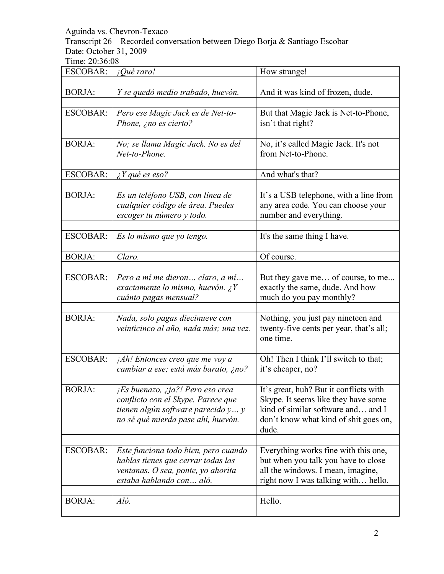Transcript 26 – Recorded conversation between Diego Borja & Santiago Escobar Date: October 31, 2009

| <b>ESCOBAR:</b> | ¡Qué raro!                                                                                                                                         | How strange!                                                                                                                                                          |
|-----------------|----------------------------------------------------------------------------------------------------------------------------------------------------|-----------------------------------------------------------------------------------------------------------------------------------------------------------------------|
| <b>BORJA:</b>   | Y se quedó medio trabado, huevón.                                                                                                                  | And it was kind of frozen, dude.                                                                                                                                      |
| <b>ESCOBAR:</b> | Pero ese Magic Jack es de Net-to-<br>Phone, ¿no es cierto?                                                                                         | But that Magic Jack is Net-to-Phone,<br>isn't that right?                                                                                                             |
| <b>BORJA:</b>   | No; se llama Magic Jack. No es del<br>Net-to-Phone.                                                                                                | No, it's called Magic Jack. It's not<br>from Net-to-Phone.                                                                                                            |
| <b>ESCOBAR:</b> | $\lambda$ Y qué es eso?                                                                                                                            | And what's that?                                                                                                                                                      |
| <b>BORJA:</b>   | Es un teléfono USB, con línea de<br>cualquier código de área. Puedes<br>escoger tu número y todo.                                                  | It's a USB telephone, with a line from<br>any area code. You can choose your<br>number and everything.                                                                |
| <b>ESCOBAR:</b> | Es lo mismo que yo tengo.                                                                                                                          | It's the same thing I have.                                                                                                                                           |
| <b>BORJA:</b>   | Claro.                                                                                                                                             | Of course.                                                                                                                                                            |
| <b>ESCOBAR:</b> | Pero a mí me dieron claro, a mí<br>exactamente lo mismo, huevón. ¿Y<br>cuánto pagas mensual?                                                       | But they gave me of course, to me<br>exactly the same, dude. And how<br>much do you pay monthly?                                                                      |
| <b>BORJA:</b>   | Nada, solo pagas diecinueve con<br>veinticinco al año, nada más; una vez.                                                                          | Nothing, you just pay nineteen and<br>twenty-five cents per year, that's all;<br>one time.                                                                            |
| <b>ESCOBAR:</b> | $jAh!$ Entonces creo que me voy a<br>cambiar a ese; está más barato, ¿no?                                                                          | Oh! Then I think I'll switch to that;<br>it's cheaper, no?                                                                                                            |
| <b>BORJA:</b>   | ¡Es buenazo, ¿ja?! Pero eso crea<br>conflicto con el Skype. Parece que<br>tienen algún software parecido y y<br>no sé qué mierda pase ahí, huevón. | It's great, huh? But it conflicts with<br>Skype. It seems like they have some<br>kind of similar software and and I<br>don't know what kind of shit goes on,<br>dude. |
| <b>ESCOBAR:</b> | Este funciona todo bien, pero cuando<br>hablas tienes que cerrar todas las<br>ventanas. O sea, ponte, yo ahorita<br>estaba hablando con aló.       | Everything works fine with this one,<br>but when you talk you have to close<br>all the windows. I mean, imagine,<br>right now I was talking with hello.               |
| <b>BORJA:</b>   | Aló.                                                                                                                                               | Hello.                                                                                                                                                                |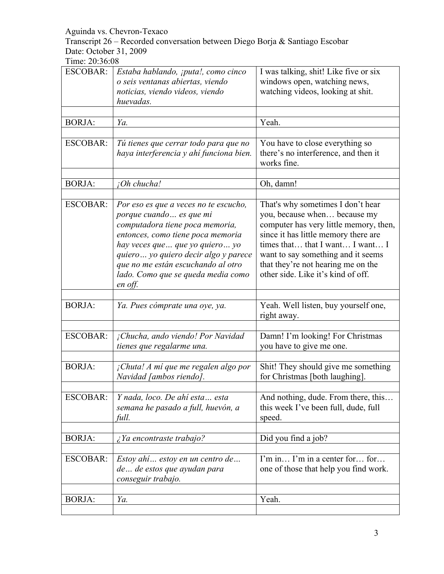Transcript 26 – Recorded conversation between Diego Borja & Santiago Escobar Date: October 31, 2009

| <b>ESCOBAR:</b> | Estaba hablando, ¡puta!, como cinco     | I was talking, shit! Like five or six               |
|-----------------|-----------------------------------------|-----------------------------------------------------|
|                 | o seis ventanas abiertas, viendo        | windows open, watching news,                        |
|                 | noticias, viendo videos, viendo         | watching videos, looking at shit.                   |
|                 | huevadas.                               |                                                     |
|                 |                                         |                                                     |
| <b>BORJA:</b>   | Ya.                                     | Yeah.                                               |
|                 |                                         |                                                     |
| <b>ESCOBAR:</b> | Tú tienes que cerrar todo para que no   | You have to close everything so                     |
|                 | haya interferencia y ahí funciona bien. | there's no interference, and then it<br>works fine. |
|                 |                                         |                                                     |
| <b>BORJA:</b>   | ¡Oh chucha!                             | Oh, damn!                                           |
|                 |                                         |                                                     |
| <b>ESCOBAR:</b> | Por eso es que a veces no te escucho,   | That's why sometimes I don't hear                   |
|                 | porque cuando  es que mi                | you, because when because my                        |
|                 | computadora tiene poca memoria,         | computer has very little memory, then,              |
|                 | entonces, como tiene poca memoria       | since it has little memory there are                |
|                 | hay veces que  que yo quiero  yo        | times that that I want I want I                     |
|                 | quiero  yo quiero decir algo y parece   | want to say something and it seems                  |
|                 | que no me están escuchando al otro      | that they're not hearing me on the                  |
|                 | lado. Como que se queda media como      | other side. Like it's kind of off.                  |
|                 | en off.                                 |                                                     |
|                 |                                         |                                                     |
| <b>BORJA:</b>   | Ya. Pues cómprate una oye, ya.          | Yeah. Well listen, buy yourself one,                |
|                 |                                         | right away.                                         |
| <b>ESCOBAR:</b> |                                         |                                                     |
|                 | ¡Chucha, ando viendo! Por Navidad       | Damn! I'm looking! For Christmas                    |
|                 | tienes que regalarme una.               | you have to give me one.                            |
| <b>BORJA:</b>   | ¡Chuta! A mí que me regalen algo por    | Shit! They should give me something                 |
|                 | Navidad [ambos riendo].                 | for Christmas [both laughing].                      |
|                 |                                         |                                                     |
| <b>ESCOBAR:</b> | Y nada, loco. De ahí esta esta          | And nothing, dude. From there, this                 |
|                 | semana he pasado a full, huevón, a      | this week I've been full, dude, full                |
|                 | full.                                   | speed.                                              |
|                 |                                         |                                                     |
| <b>BORJA:</b>   | ¿Ya encontraste trabajo?                | Did you find a job?                                 |
|                 |                                         |                                                     |
| <b>ESCOBAR:</b> | Estoy ahí estoy en un centro de         | I'm in I'm in a center for for                      |
|                 | de de estos que ayudan para             | one of those that help you find work.               |
|                 | conseguir trabajo.                      |                                                     |
|                 |                                         |                                                     |
| <b>BORJA:</b>   | Ya.                                     | Yeah.                                               |
|                 |                                         |                                                     |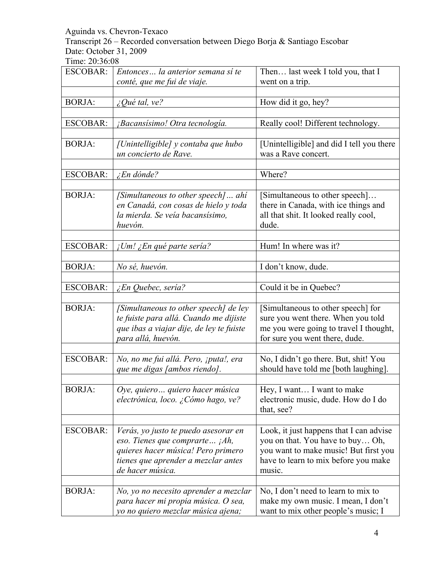Transcript 26 – Recorded conversation between Diego Borja & Santiago Escobar Date: October 31, 2009

| <b>ESCOBAR:</b> | Entonces la anterior semana si te<br>conté, que me fui de viaje.                                                                                                           | Then last week I told you, that I<br>went on a trip.                                                                                                                   |
|-----------------|----------------------------------------------------------------------------------------------------------------------------------------------------------------------------|------------------------------------------------------------------------------------------------------------------------------------------------------------------------|
|                 |                                                                                                                                                                            |                                                                                                                                                                        |
| <b>BORJA:</b>   | $\mathcal{L}$ Qué tal, ve?                                                                                                                                                 | How did it go, hey?                                                                                                                                                    |
|                 |                                                                                                                                                                            |                                                                                                                                                                        |
| <b>ESCOBAR:</b> | ¡Bacansísimo! Otra tecnología.                                                                                                                                             | Really cool! Different technology.                                                                                                                                     |
|                 |                                                                                                                                                                            |                                                                                                                                                                        |
| <b>BORJA:</b>   | [Unintelligible] y contaba que hubo<br>un concierto de Rave.                                                                                                               | [Unintelligible] and did I tell you there<br>was a Rave concert.                                                                                                       |
|                 |                                                                                                                                                                            |                                                                                                                                                                        |
| <b>ESCOBAR:</b> | $\angle En$ dónde?                                                                                                                                                         | Where?                                                                                                                                                                 |
|                 |                                                                                                                                                                            |                                                                                                                                                                        |
| <b>BORJA:</b>   | [Simultaneous to other speech] ahi<br>en Canadá, con cosas de hielo y toda<br>la mierda. Se veía bacansísimo,<br>huevón.                                                   | [Simultaneous to other speech]<br>there in Canada, with ice things and<br>all that shit. It looked really cool,<br>dude.                                               |
| <b>ESCOBAR:</b> | ¡Um! ¿En qué parte sería?                                                                                                                                                  | Hum! In where was it?                                                                                                                                                  |
|                 |                                                                                                                                                                            |                                                                                                                                                                        |
| <b>BORJA:</b>   | No sé, huevón.                                                                                                                                                             | I don't know, dude.                                                                                                                                                    |
| <b>ESCOBAR:</b> | ¿En Quebec, sería?                                                                                                                                                         | Could it be in Quebec?                                                                                                                                                 |
|                 |                                                                                                                                                                            |                                                                                                                                                                        |
| <b>BORJA:</b>   | [Simultaneous to other speech] de ley<br>te fuiste para allá. Cuando me dijiste<br>que ibas a viajar dije, de ley te fuiste<br>para allá, huevón.                          | [Simultaneous to other speech] for<br>sure you went there. When you told<br>me you were going to travel I thought,<br>for sure you went there, dude.                   |
| <b>ESCOBAR:</b> | No, no me fui allá. Pero, ¡puta!, era<br>que me digas [ambos riendo].                                                                                                      | No, I didn't go there. But, shit! You<br>should have told me [both laughing].                                                                                          |
|                 |                                                                                                                                                                            |                                                                                                                                                                        |
| <b>BORJA:</b>   | Oye, quiero  quiero hacer música<br>electrónica, loco. ¿Cómo hago, ve?                                                                                                     | Hey, I want I want to make<br>electronic music, dude. How do I do<br>that, see?                                                                                        |
|                 |                                                                                                                                                                            |                                                                                                                                                                        |
| <b>ESCOBAR:</b> | Verás, yo justo te puedo asesorar en<br>eso. Tienes que comprarte $iAh$ ,<br>quieres hacer música! Pero primero<br>tienes que aprender a mezclar antes<br>de hacer música. | Look, it just happens that I can advise<br>you on that. You have to buy Oh,<br>you want to make music! But first you<br>have to learn to mix before you make<br>music. |
|                 |                                                                                                                                                                            |                                                                                                                                                                        |
| <b>BORJA:</b>   | No, yo no necesito aprender a mezclar<br>para hacer mi propia música. O sea,<br>yo no quiero mezclar música ajena;                                                         | No, I don't need to learn to mix to<br>make my own music. I mean, I don't<br>want to mix other people's music; I                                                       |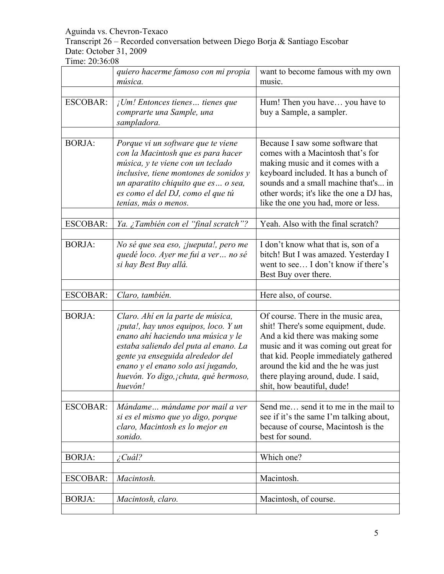# Transcript 26 – Recorded conversation between Diego Borja & Santiago Escobar Date: October 31, 2009

|                 | quiero hacerme famoso con mi propia<br>música.                                                                                                                                                                                                                                                | want to become famous with my own<br>music.                                                                                                                                                                                                                                                                |
|-----------------|-----------------------------------------------------------------------------------------------------------------------------------------------------------------------------------------------------------------------------------------------------------------------------------------------|------------------------------------------------------------------------------------------------------------------------------------------------------------------------------------------------------------------------------------------------------------------------------------------------------------|
|                 |                                                                                                                                                                                                                                                                                               |                                                                                                                                                                                                                                                                                                            |
| <b>ESCOBAR:</b> | $I$ Um! Entonces tienes tienes que<br>comprarte una Sample, una<br>sampladora.                                                                                                                                                                                                                | Hum! Then you have you have to<br>buy a Sample, a sampler.                                                                                                                                                                                                                                                 |
| <b>BORJA:</b>   | Porque vi un software que te viene<br>con la Macintosh que es para hacer<br>música, y te viene con un teclado<br>inclusive, tiene montones de sonidos y<br>un aparatito chiquito que es o sea,<br>es como el del DJ, como el que tú<br>tenías, más o menos.                                   | Because I saw some software that<br>comes with a Macintosh that's for<br>making music and it comes with a<br>keyboard included. It has a bunch of<br>sounds and a small machine that's in<br>other words; it's like the one a DJ has,<br>like the one you had, more or less.                               |
|                 |                                                                                                                                                                                                                                                                                               |                                                                                                                                                                                                                                                                                                            |
| <b>ESCOBAR:</b> | Ya. ¿También con el "final scratch"?                                                                                                                                                                                                                                                          | Yeah. Also with the final scratch?                                                                                                                                                                                                                                                                         |
| <b>BORJA:</b>   | No sé que sea eso, <i>jueputa!</i> , pero me<br>quedé loco. Ayer me fui a ver  no sé<br>si hay Best Buy allá.                                                                                                                                                                                 | I don't know what that is, son of a<br>bitch! But I was amazed. Yesterday I<br>went to see I don't know if there's<br>Best Buy over there.                                                                                                                                                                 |
|                 |                                                                                                                                                                                                                                                                                               |                                                                                                                                                                                                                                                                                                            |
| <b>ESCOBAR:</b> | Claro, también.                                                                                                                                                                                                                                                                               | Here also, of course.                                                                                                                                                                                                                                                                                      |
| <b>BORJA:</b>   | Claro. Ahí en la parte de música,<br><i>iputa!, hay unos equipos, loco. Y un</i><br>enano ahí haciendo una música y le<br>estaba saliendo del puta al enano. La<br>gente ya enseguida alrededor del<br>enano y el enano solo así jugando,<br>huevón. Yo digo, ¡chuta, qué hermoso,<br>huevón! | Of course. There in the music area,<br>shit! There's some equipment, dude.<br>And a kid there was making some<br>music and it was coming out great for<br>that kid. People immediately gathered<br>around the kid and the he was just<br>there playing around, dude. I said,<br>shit, how beautiful, dude! |
|                 |                                                                                                                                                                                                                                                                                               |                                                                                                                                                                                                                                                                                                            |
| <b>ESCOBAR:</b> | Mándame mándame por mail a ver<br>si es el mismo que yo digo, porque<br>claro, Macintosh es lo mejor en<br>sonido.                                                                                                                                                                            | Send me send it to me in the mail to<br>see if it's the same I'm talking about,<br>because of course, Macintosh is the<br>best for sound.                                                                                                                                                                  |
| <b>BORJA:</b>   | $\angle$ Cuál?                                                                                                                                                                                                                                                                                | Which one?                                                                                                                                                                                                                                                                                                 |
|                 |                                                                                                                                                                                                                                                                                               |                                                                                                                                                                                                                                                                                                            |
| <b>ESCOBAR:</b> | Macintosh.                                                                                                                                                                                                                                                                                    | Macintosh.                                                                                                                                                                                                                                                                                                 |
|                 |                                                                                                                                                                                                                                                                                               |                                                                                                                                                                                                                                                                                                            |
| <b>BORJA:</b>   | Macintosh, claro.                                                                                                                                                                                                                                                                             | Macintosh, of course.                                                                                                                                                                                                                                                                                      |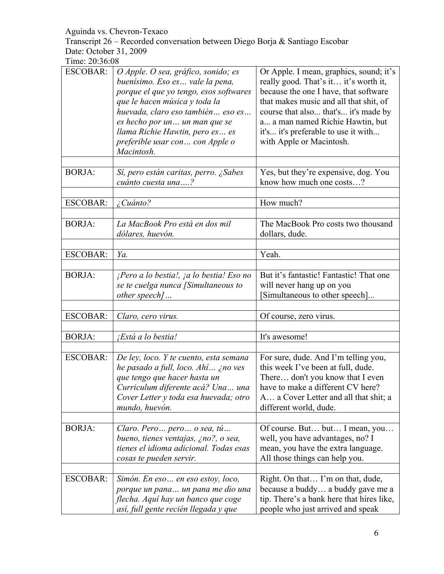Transcript 26 – Recorded conversation between Diego Borja & Santiago Escobar Date: October 31, 2009

| <b>ESCOBAR:</b> | O Apple. O sea, gráfico, sonido; es<br>buenísimo. Eso es  vale la pena,<br>porque el que yo tengo, esos softwares<br>que le hacen música y toda la<br>huevada, claro eso también eso es<br>es hecho por un un man que se<br>llama Richie Hawtin, pero es es<br>preferible usar con con Apple o<br>Macintosh. | Or Apple. I mean, graphics, sound; it's<br>really good. That's it it's worth it,<br>because the one I have, that software<br>that makes music and all that shit, of<br>course that also that's it's made by<br>a a man named Richie Hawtin, but<br>it's it's preferable to use it with<br>with Apple or Macintosh. |
|-----------------|--------------------------------------------------------------------------------------------------------------------------------------------------------------------------------------------------------------------------------------------------------------------------------------------------------------|--------------------------------------------------------------------------------------------------------------------------------------------------------------------------------------------------------------------------------------------------------------------------------------------------------------------|
| <b>BORJA:</b>   | Sí, pero están caritas, perro. ¿Sabes<br>cuánto cuesta una?                                                                                                                                                                                                                                                  | Yes, but they're expensive, dog. You<br>know how much one costs?                                                                                                                                                                                                                                                   |
| <b>ESCOBAR:</b> | ¿Cuánto?                                                                                                                                                                                                                                                                                                     | How much?                                                                                                                                                                                                                                                                                                          |
| <b>BORJA:</b>   | La MacBook Pro está en dos mil<br>dólares, huevón.                                                                                                                                                                                                                                                           | The MacBook Pro costs two thousand<br>dollars, dude.                                                                                                                                                                                                                                                               |
| <b>ESCOBAR:</b> | Ya.                                                                                                                                                                                                                                                                                                          | Yeah.                                                                                                                                                                                                                                                                                                              |
| <b>BORJA:</b>   | $i$ Pero a lo bestia!, $i$ a lo bestia! Eso no<br>se te cuelga nunca [Simultaneous to<br>other speech]                                                                                                                                                                                                       | But it's fantastic! Fantastic! That one<br>will never hang up on you<br>[Simultaneous to other speech]                                                                                                                                                                                                             |
| <b>ESCOBAR:</b> | Claro, cero virus.                                                                                                                                                                                                                                                                                           | Of course, zero virus.                                                                                                                                                                                                                                                                                             |
| <b>BORJA:</b>   | ¡Está a lo bestia!                                                                                                                                                                                                                                                                                           | It's awesome!                                                                                                                                                                                                                                                                                                      |
| <b>ESCOBAR:</b> | De ley, loco. Y te cuento, esta semana<br>he pasado a full, loco. Ahí ¿no ves<br>que tengo que hacer hasta un<br>Curriculum diferente acá? Una<br>una<br>Cover Letter y toda esa huevada; otro<br>mundo, huevón.                                                                                             | For sure, dude. And I'm telling you,<br>this week I've been at full, dude.<br>There don't you know that I even<br>have to make a different CV here?<br>A a Cover Letter and all that shit; a<br>different world, dude.                                                                                             |
| <b>BORJA:</b>   | Claro. Pero pero o sea, tú<br>bueno, tienes ventajas, ¿no?, o sea,<br>tienes el idioma adicional. Todas esas<br>cosas te pueden servir.                                                                                                                                                                      | Of course. But but I mean, you<br>well, you have advantages, no? I<br>mean, you have the extra language.<br>All those things can help you.                                                                                                                                                                         |
| <b>ESCOBAR:</b> | Simón. En eso en eso estoy, loco,<br>porque un pana un pana me dio una<br>flecha. Aquí hay un banco que coge<br>así, full gente recién llegada y que                                                                                                                                                         | Right. On that I'm on that, dude,<br>because a buddy a buddy gave me a<br>tip. There's a bank here that hires like,<br>people who just arrived and speak                                                                                                                                                           |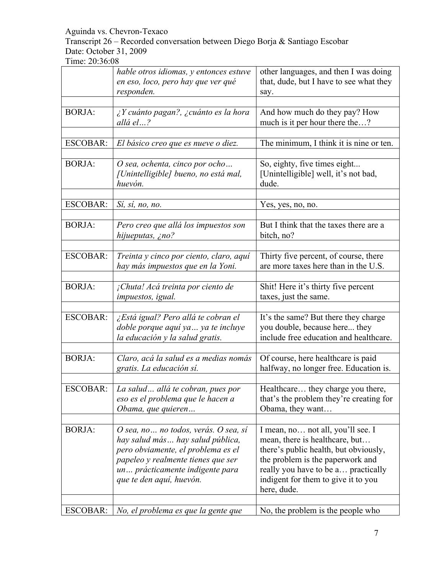Transcript 26 – Recorded conversation between Diego Borja & Santiago Escobar Date: October 31, 2009

|                 | hable otros idiomas, y entonces estuve<br>en eso, loco, pero hay que ver qué<br>responden.                                                                                                                           | other languages, and then I was doing<br>that, dude, but I have to see what they<br>say.                                                                                                                                                      |
|-----------------|----------------------------------------------------------------------------------------------------------------------------------------------------------------------------------------------------------------------|-----------------------------------------------------------------------------------------------------------------------------------------------------------------------------------------------------------------------------------------------|
| <b>BORJA:</b>   | $\lambda$ Y cuánto pagan?, $\lambda$ cuánto es la hora<br>allá el?                                                                                                                                                   | And how much do they pay? How<br>much is it per hour there the?                                                                                                                                                                               |
| <b>ESCOBAR:</b> | El básico creo que es nueve o diez.                                                                                                                                                                                  | The minimum, I think it is nine or ten.                                                                                                                                                                                                       |
| <b>BORJA:</b>   | O sea, ochenta, cinco por ocho<br>[Unintelligible] bueno, no está mal,<br>huevón.                                                                                                                                    | So, eighty, five times eight<br>[Unintelligible] well, it's not bad,<br>dude.                                                                                                                                                                 |
| <b>ESCOBAR:</b> | Sí, sí, no, no.                                                                                                                                                                                                      | Yes, yes, no, no.                                                                                                                                                                                                                             |
| <b>BORJA:</b>   | Pero creo que allá los impuestos son<br>hijueputas, ¿no?                                                                                                                                                             | But I think that the taxes there are a<br>bitch, no?                                                                                                                                                                                          |
| <b>ESCOBAR:</b> | Treinta y cinco por ciento, claro, aquí<br>hay más impuestos que en la Yoni.                                                                                                                                         | Thirty five percent, of course, there<br>are more taxes here than in the U.S.                                                                                                                                                                 |
| <b>BORJA:</b>   | ¡Chuta! Acá treinta por ciento de<br>impuestos, igual.                                                                                                                                                               | Shit! Here it's thirty five percent<br>taxes, just the same.                                                                                                                                                                                  |
| <b>ESCOBAR:</b> | ¿Está igual? Pero allá te cobran el<br>doble porque aquí ya  ya te incluye<br>la educación y la salud gratis.                                                                                                        | It's the same? But there they charge<br>you double, because here they<br>include free education and healthcare.                                                                                                                               |
| <b>BORJA:</b>   | Claro, acá la salud es a medias nomás<br>gratis. La educación sí.                                                                                                                                                    | Of course, here healthcare is paid<br>halfway, no longer free. Education is.                                                                                                                                                                  |
| ESCOBAR:        | La salud allá te cobran, pues por<br>eso es el problema que le hacen a<br>Obama, que quieren                                                                                                                         | Healthcare.<br>they charge you there<br>that's the problem they're creating for<br>Obama, they want                                                                                                                                           |
| <b>BORJA:</b>   | O sea, no  no todos, verás. O sea, sí<br>hay salud más hay salud pública,<br>pero obviamente, el problema es el<br>papeleo y realmente tienes que ser<br>un prácticamente indigente para<br>que te den aquí, huevón. | I mean, no not all, you'll see. I<br>mean, there is healthcare, but<br>there's public health, but obviously,<br>the problem is the paperwork and<br>really you have to be a practically<br>indigent for them to give it to you<br>here, dude. |
| ESCOBAR:        | No, el problema es que la gente que                                                                                                                                                                                  | No, the problem is the people who                                                                                                                                                                                                             |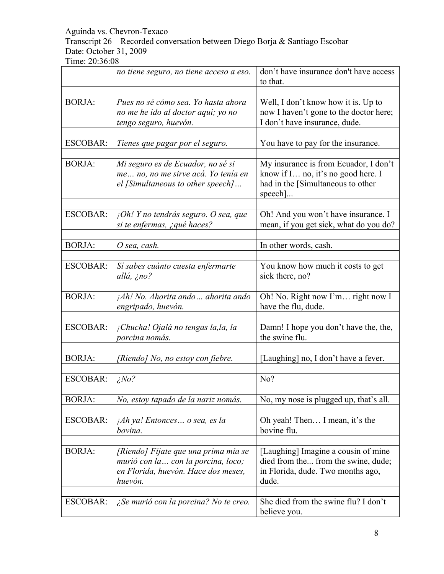# Transcript 26 – Recorded conversation between Diego Borja & Santiago Escobar Date: October 31, 2009

|                 | no tiene seguro, no tiene acceso a eso.                                                                                       | don't have insurance don't have access<br>to that.                                                                          |
|-----------------|-------------------------------------------------------------------------------------------------------------------------------|-----------------------------------------------------------------------------------------------------------------------------|
|                 |                                                                                                                               |                                                                                                                             |
| <b>BORJA:</b>   | Pues no sé cómo sea. Yo hasta ahora<br>no me he ido al doctor aquí; yo no<br>tengo seguro, huevón.                            | Well, I don't know how it is. Up to<br>now I haven't gone to the doctor here;<br>I don't have insurance, dude.              |
|                 |                                                                                                                               |                                                                                                                             |
| <b>ESCOBAR:</b> | Tienes que pagar por el seguro.                                                                                               | You have to pay for the insurance.                                                                                          |
| <b>BORJA:</b>   | Mi seguro es de Ecuador, no sé si<br>me no, no me sirve acá. Yo tenía en<br>el [Simultaneous to other speech]                 | My insurance is from Ecuador, I don't<br>know if I no, it's no good here. I<br>had in the [Simultaneous to other<br>speech] |
| <b>ESCOBAR:</b> | $i$ Oh! Y no tendrás seguro. O sea, que<br>si te enfermas, ¿qué haces?                                                        | Oh! And you won't have insurance. I<br>mean, if you get sick, what do you do?                                               |
|                 |                                                                                                                               |                                                                                                                             |
| <b>BORJA:</b>   | O sea, cash.                                                                                                                  | In other words, cash.                                                                                                       |
| <b>ESCOBAR:</b> | Si sabes cuánto cuesta enfermarte<br>allá, ¿no?                                                                               | You know how much it costs to get<br>sick there, no?                                                                        |
| <b>BORJA:</b>   | ¡Ah! No. Ahorita ando ahorita ando<br>engripado, huevón.                                                                      | Oh! No. Right now I'm right now I<br>have the flu, dude.                                                                    |
| <b>ESCOBAR:</b> | ¡Chucha! Ojalá no tengas la, la, la<br>porcina nomás.                                                                         | Damn! I hope you don't have the, the,<br>the swine flu.                                                                     |
|                 |                                                                                                                               |                                                                                                                             |
| <b>BORJA:</b>   | [Riendo] No, no estoy con fiebre.                                                                                             | [Laughing] no, I don't have a fever.                                                                                        |
|                 |                                                                                                                               |                                                                                                                             |
| <b>ESCOBAR:</b> | $i$ No?                                                                                                                       | No?                                                                                                                         |
| <b>BORJA:</b>   | No, estoy tapado de la nariz nomás.                                                                                           | No, my nose is plugged up, that's all.                                                                                      |
| <b>ESCOBAR:</b> | <i>Ah ya! Entonces o sea, es la</i><br>bovina.                                                                                | Oh yeah! Then I mean, it's the<br>bovine flu.                                                                               |
|                 |                                                                                                                               |                                                                                                                             |
| <b>BORJA:</b>   | [Riendo] Fíjate que una prima mía se<br>murió con la  con la porcina, loco;<br>en Florida, huevón. Hace dos meses,<br>huevón. | [Laughing] Imagine a cousin of mine<br>died from the from the swine, dude;<br>in Florida, dude. Two months ago,<br>dude.    |
|                 |                                                                                                                               |                                                                                                                             |
| ESCOBAR:        | ¿Se murió con la porcina? No te creo.                                                                                         | She died from the swine flu? I don't<br>believe you.                                                                        |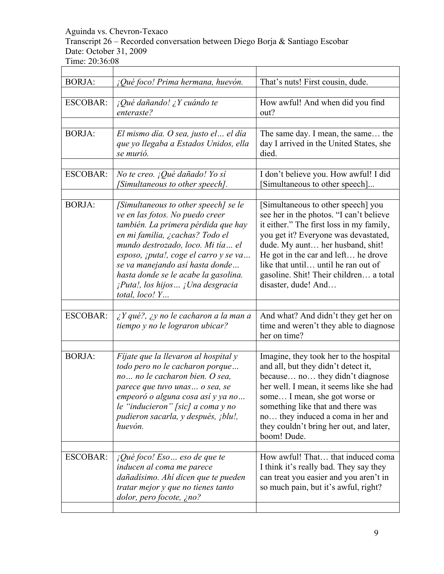# Transcript 26 – Recorded conversation between Diego Borja & Santiago Escobar Date: October 31, 2009

| <b>BORJA:</b>                    | $i$ Qué foco! Prima hermana, huevón.                                                                                                                                                                                                                                                                                                                                 | That's nuts! First cousin, dude.                                                                                                                                                                                                                                                                                                                     |
|----------------------------------|----------------------------------------------------------------------------------------------------------------------------------------------------------------------------------------------------------------------------------------------------------------------------------------------------------------------------------------------------------------------|------------------------------------------------------------------------------------------------------------------------------------------------------------------------------------------------------------------------------------------------------------------------------------------------------------------------------------------------------|
| <b>ESCOBAR:</b><br><b>BORJA:</b> | $i$ Qué dañando! ¿Y cuándo te<br>enteraste?<br>El mismo día. O sea, justo el  el día<br>que yo llegaba a Estados Unidos, ella                                                                                                                                                                                                                                        | How awful! And when did you find<br>out?<br>The same day. I mean, the same the<br>day I arrived in the United States, she                                                                                                                                                                                                                            |
|                                  | se murió.                                                                                                                                                                                                                                                                                                                                                            | died.                                                                                                                                                                                                                                                                                                                                                |
| <b>ESCOBAR:</b>                  | No te creo. ¡Qué dañado! Yo sí<br>[Simultaneous to other speech].                                                                                                                                                                                                                                                                                                    | I don't believe you. How awful! I did<br>[Simultaneous to other speech]                                                                                                                                                                                                                                                                              |
| <b>BORJA:</b>                    | [Simultaneous to other speech] se le<br>ve en las fotos. No puedo creer<br>también. La primera pérdida que hay<br>en mi familia, ¿cachas? Todo el<br>mundo destrozado, loco. Mi tía el<br>esposo, ¡puta!, coge el carro y se va<br>se va manejando así hasta donde<br>hasta donde se le acabe la gasolina.<br>¡Puta!, los hijos ¡Una desgracia<br>total, $loco!$ $Y$ | [Simultaneous to other speech] you<br>see her in the photos. "I can't believe<br>it either." The first loss in my family,<br>you get it? Everyone was devastated,<br>dude. My aunt her husband, shit!<br>He got in the car and left he drove<br>like that until until he ran out of<br>gasoline. Shit! Their children a total<br>disaster, dude! And |
| <b>ESCOBAR:</b>                  | $\lambda$ Y qué?, $\lambda$ y no le cacharon a la man a<br>tiempo y no le lograron ubicar?                                                                                                                                                                                                                                                                           | And what? And didn't they get her on<br>time and weren't they able to diagnose<br>her on time?                                                                                                                                                                                                                                                       |
| <b>BORJA:</b>                    | Fijate que la llevaron al hospital y<br>todo pero no le cacharon porque<br>no no le cacharon bien. O sea,<br>parece que tuvo unas  o sea, se<br>empeoró o alguna cosa así y ya no<br>le "inducieron" [sic] a coma y no<br>pudieron sacarla, y después, ¡blu!,<br>huevón.                                                                                             | Imagine, they took her to the hospital<br>and all, but they didn't detect it,<br>because no they didn't diagnose<br>her well. I mean, it seems like she had<br>some I mean, she got worse or<br>something like that and there was<br>no they induced a coma in her and<br>they couldn't bring her out, and later,<br>boom! Dude.                     |
| <b>ESCOBAR:</b>                  | ¡Qué foco! Eso eso de que te<br>inducen al coma me parece<br>dañadísimo. Ahí dicen que te pueden<br>tratar mejor y que no tienes tanto<br>dolor, pero focote, ¿no?                                                                                                                                                                                                   | How awful! That that induced coma<br>I think it's really bad. They say they<br>can treat you easier and you aren't in<br>so much pain, but it's awful, right?                                                                                                                                                                                        |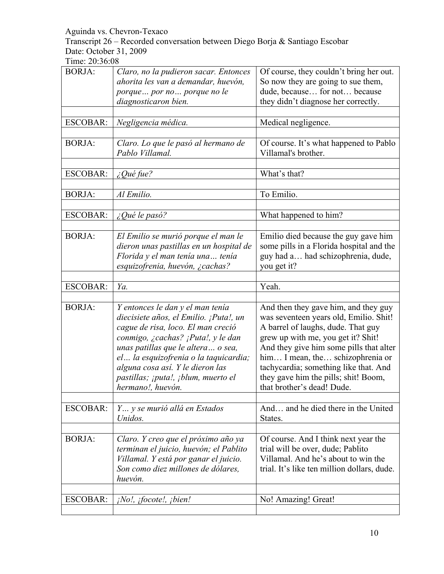Transcript 26 – Recorded conversation between Diego Borja & Santiago Escobar Date: October 31, 2009

| <b>BORJA:</b>   | Claro, no la pudieron sacar. Entonces   | Of course, they couldn't bring her out.     |
|-----------------|-----------------------------------------|---------------------------------------------|
|                 | ahorita les van a demandar, huevón,     | So now they are going to sue them,          |
|                 | porque por no porque no le              | dude, because for not because               |
|                 | diagnosticaron bien.                    | they didn't diagnose her correctly.         |
|                 |                                         |                                             |
| <b>ESCOBAR:</b> |                                         | Medical negligence.                         |
|                 | Negligencia médica.                     |                                             |
|                 |                                         |                                             |
| <b>BORJA:</b>   | Claro. Lo que le pasó al hermano de     | Of course. It's what happened to Pablo      |
|                 | Pablo Villamal.                         | Villamal's brother.                         |
|                 |                                         |                                             |
| <b>ESCOBAR:</b> | ¿Qué fue?                               | What's that?                                |
|                 |                                         |                                             |
| <b>BORJA:</b>   | Al Emilio.                              | To Emilio.                                  |
|                 |                                         |                                             |
|                 |                                         |                                             |
| <b>ESCOBAR:</b> | $\zeta$ Qué le pasó?                    | What happened to him?                       |
|                 |                                         |                                             |
| <b>BORJA:</b>   | El Emilio se murió porque el man le     | Emilio died because the guy gave him        |
|                 | dieron unas pastillas en un hospital de | some pills in a Florida hospital and the    |
|                 | Florida y el man tenía una tenía        | guy had a had schizophrenia, dude,          |
|                 | esquizofrenia, huevón, ¿cachas?         | you get it?                                 |
|                 |                                         |                                             |
| <b>ESCOBAR:</b> | Ya.                                     | Yeah.                                       |
|                 |                                         |                                             |
| <b>BORJA:</b>   | Y entonces le dan y el man tenía        | And then they gave him, and they guy        |
|                 |                                         |                                             |
|                 | diecisiete años, el Emilio. ¡Puta!, un  | was seventeen years old, Emilio. Shit!      |
|                 | cague de risa, loco. El man creció      | A barrel of laughs, dude. That guy          |
|                 | conmigo, ¿cachas? ¡Puta!, y le dan      | grew up with me, you get it? Shit!          |
|                 | unas patillas que le altera o sea,      | And they give him some pills that alter     |
|                 | el la esquizofrenia o la taquicardia;   | him I mean, the schizophrenia or            |
|                 | alguna cosa así. Y le dieron las        | tachycardia; something like that. And       |
|                 | pastillas; ¡puta!, ¡blum, muerto el     |                                             |
|                 |                                         |                                             |
|                 |                                         | they gave him the pills; shit! Boom,        |
|                 | hermano!, huevón.                       | that brother's dead! Dude.                  |
|                 |                                         |                                             |
| <b>ESCOBAR:</b> | Y y se murió allá en Estados            | And and he died there in the United         |
|                 | Unidos.                                 | States.                                     |
|                 |                                         |                                             |
| <b>BORJA:</b>   | Claro. Y creo que el próximo año ya     | Of course. And I think next year the        |
|                 | terminan el juicio, huevón; el Pablito  | trial will be over, dude; Pablito           |
|                 | Villamal. Y está por ganar el juicio.   | Villamal. And he's about to win the         |
|                 | Son como diez millones de dólares,      |                                             |
|                 |                                         | trial. It's like ten million dollars, dude. |
|                 | huevón.                                 |                                             |
|                 |                                         |                                             |
| <b>ESCOBAR:</b> | ¡No!, ¡focote!, ¡bien!                  | No! Amazing! Great!                         |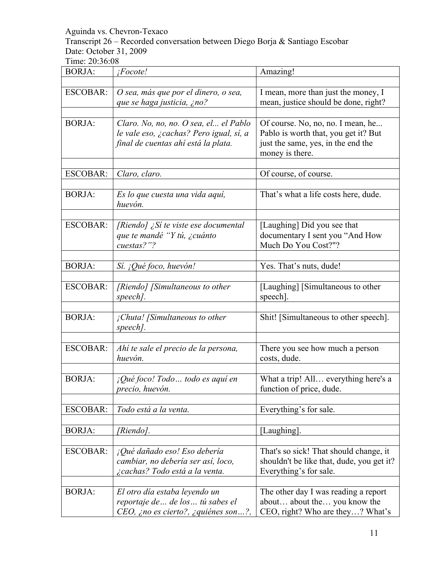Transcript 26 – Recorded conversation between Diego Borja & Santiago Escobar Date: October 31, 2009

| <b>BORJA:</b>   | ¡Focote!                                                                                                                | Amazing!                                                                                                                           |
|-----------------|-------------------------------------------------------------------------------------------------------------------------|------------------------------------------------------------------------------------------------------------------------------------|
|                 |                                                                                                                         |                                                                                                                                    |
| <b>ESCOBAR:</b> | O sea, más que por el dinero, o sea,<br>que se haga justicia, ¿no?                                                      | I mean, more than just the money, I<br>mean, justice should be done, right?                                                        |
|                 |                                                                                                                         |                                                                                                                                    |
| <b>BORJA:</b>   | Claro. No, no, no. O sea, el el Pablo<br>le vale eso, ¿cachas? Pero igual, sí, a<br>final de cuentas ahí está la plata. | Of course. No, no, no. I mean, he<br>Pablo is worth that, you get it? But<br>just the same, yes, in the end the<br>money is there. |
| <b>ESCOBAR:</b> | Claro, claro.                                                                                                           | Of course, of course.                                                                                                              |
| <b>BORJA:</b>   | Es lo que cuesta una vida aquí,<br>huevón.                                                                              | That's what a life costs here, dude.                                                                                               |
| <b>ESCOBAR:</b> | [Riendo] $\zeta$ Sí te viste ese documental<br>que te mandé "Y tú, ¿cuánto<br>cuestas?"?                                | [Laughing] Did you see that<br>documentary I sent you "And How<br>Much Do You Cost?"?                                              |
| <b>BORJA:</b>   | Sí. ¡Qué foco, huevón!                                                                                                  | Yes. That's nuts, dude!                                                                                                            |
|                 |                                                                                                                         |                                                                                                                                    |
| <b>ESCOBAR:</b> | [Riendo] [Simultaneous to other<br>speech].                                                                             | [Laughing] [Simultaneous to other<br>speech].                                                                                      |
| <b>BORJA:</b>   | ¡Chuta! [Simultaneous to other<br>speech].                                                                              | Shit! [Simultaneous to other speech].                                                                                              |
| <b>ESCOBAR:</b> | Ahí te sale el precio de la persona,<br>huevón.                                                                         | There you see how much a person<br>costs, dude.                                                                                    |
| <b>BORJA:</b>   | ¡Qué foco! Todo  todo es aquí en<br>precio, huevón.                                                                     | What a trip! All everything here's a<br>function of price, dude.                                                                   |
| <b>ESCOBAR:</b> | Todo está a la venta.                                                                                                   | Everything's for sale.                                                                                                             |
| <b>BORJA:</b>   | [Riendo].                                                                                                               | [Laughing].                                                                                                                        |
| <b>ESCOBAR:</b> | ¡Qué dañado eso! Eso debería<br>cambiar, no debería ser así, loco,<br>¿cachas? Todo está a la venta.                    | That's so sick! That should change, it<br>shouldn't be like that, dude, you get it?<br>Everything's for sale.                      |
| <b>BORJA:</b>   | El otro día estaba leyendo un<br>reportaje de  de los  tú sabes el<br>CEO, ¿no es cierto?, ¿quiénes son?,               | The other day I was reading a report<br>about about the you know the<br>CEO, right? Who are they? What's                           |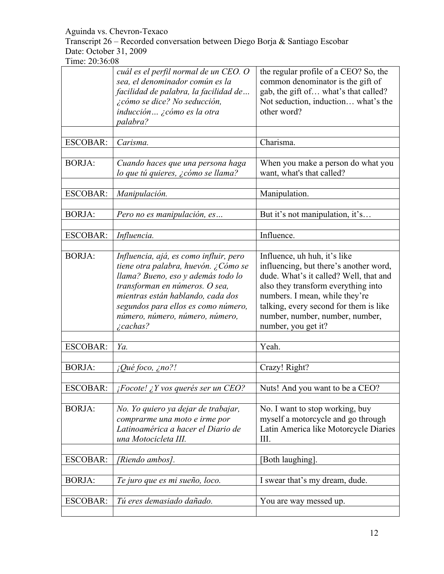Transcript 26 – Recorded conversation between Diego Borja & Santiago Escobar Date: October 31, 2009

|                 | cuál es el perfil normal de un CEO. O<br>sea, el denominador común es la<br>facilidad de palabra, la facilidad de<br>¿cómo se dice? No seducción,<br>inducción ¿cómo es la otra<br>palabra?                                                                                              | the regular profile of a CEO? So, the<br>common denominator is the gift of<br>gab, the gift of what's that called?<br>Not seduction, induction what's the<br>other word?                                                                                                                      |
|-----------------|------------------------------------------------------------------------------------------------------------------------------------------------------------------------------------------------------------------------------------------------------------------------------------------|-----------------------------------------------------------------------------------------------------------------------------------------------------------------------------------------------------------------------------------------------------------------------------------------------|
| <b>ESCOBAR:</b> | Carisma.                                                                                                                                                                                                                                                                                 | Charisma.                                                                                                                                                                                                                                                                                     |
|                 |                                                                                                                                                                                                                                                                                          |                                                                                                                                                                                                                                                                                               |
| <b>BORJA:</b>   | Cuando haces que una persona haga<br>lo que tú quieres, ¿cómo se llama?                                                                                                                                                                                                                  | When you make a person do what you<br>want, what's that called?                                                                                                                                                                                                                               |
| <b>ESCOBAR:</b> | Manipulación.                                                                                                                                                                                                                                                                            | Manipulation.                                                                                                                                                                                                                                                                                 |
| <b>BORJA:</b>   | Pero no es manipulación, es                                                                                                                                                                                                                                                              | But it's not manipulation, it's                                                                                                                                                                                                                                                               |
|                 |                                                                                                                                                                                                                                                                                          |                                                                                                                                                                                                                                                                                               |
| <b>ESCOBAR:</b> | Influencia.                                                                                                                                                                                                                                                                              | Influence.                                                                                                                                                                                                                                                                                    |
| <b>BORJA:</b>   | Influencia, ajá, es como influir, pero<br>tiene otra palabra, huevón. ¿Cómo se<br>llama? Bueno, eso y además todo lo<br>transforman en números. O sea,<br>mientras están hablando, cada dos<br>segundos para ellos es como número,<br>número, número, número, número,<br>$\zeta$ cachas? | Influence, uh huh, it's like<br>influencing, but there's another word,<br>dude. What's it called? Well, that and<br>also they transform everything into<br>numbers. I mean, while they're<br>talking, every second for them is like<br>number, number, number, number,<br>number, you get it? |
| <b>ESCOBAR:</b> | Ya.                                                                                                                                                                                                                                                                                      | Yeah.                                                                                                                                                                                                                                                                                         |
|                 |                                                                                                                                                                                                                                                                                          |                                                                                                                                                                                                                                                                                               |
| <b>BORJA:</b>   | ¡Qué foco, ¿no?!                                                                                                                                                                                                                                                                         | Crazy! Right?                                                                                                                                                                                                                                                                                 |
|                 |                                                                                                                                                                                                                                                                                          |                                                                                                                                                                                                                                                                                               |
| <b>ESCOBAR:</b> | $iFocote!$ $iY$ vos querés ser un CEO?                                                                                                                                                                                                                                                   | Nuts! And you want to be a CEO?                                                                                                                                                                                                                                                               |
| <b>BORJA:</b>   | No. Yo quiero ya dejar de trabajar,<br>comprarme una moto e irme por<br>Latinoamérica a hacer el Diario de<br>una Motocicleta III.                                                                                                                                                       | No. I want to stop working, buy<br>myself a motorcycle and go through<br>Latin America like Motorcycle Diaries<br>III.                                                                                                                                                                        |
| <b>ESCOBAR:</b> | [Riendo ambos].                                                                                                                                                                                                                                                                          | [Both laughing].                                                                                                                                                                                                                                                                              |
| <b>BORJA:</b>   | Te juro que es mi sueño, loco.                                                                                                                                                                                                                                                           | I swear that's my dream, dude.                                                                                                                                                                                                                                                                |
| <b>ESCOBAR:</b> | Tú eres demasiado dañado.                                                                                                                                                                                                                                                                | You are way messed up.                                                                                                                                                                                                                                                                        |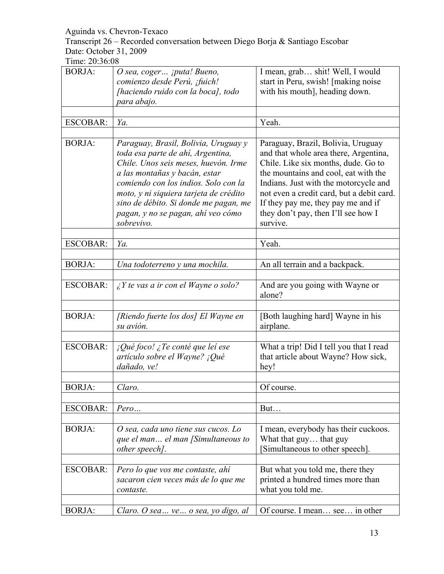Transcript 26 – Recorded conversation between Diego Borja & Santiago Escobar Date: October 31, 2009

| <b>BORJA:</b>   | O sea, coger ¡puta! Bueno,<br>comienzo desde Perú, ¡fuich!<br>[haciendo ruido con la boca], todo<br>para abajo.                                                                                                                                                                                                                   | I mean, grab shit! Well, I would<br>start in Peru, swish! [making noise<br>with his mouth], heading down.                                                                                                                                                                                                                                 |
|-----------------|-----------------------------------------------------------------------------------------------------------------------------------------------------------------------------------------------------------------------------------------------------------------------------------------------------------------------------------|-------------------------------------------------------------------------------------------------------------------------------------------------------------------------------------------------------------------------------------------------------------------------------------------------------------------------------------------|
| <b>ESCOBAR:</b> | Ya.                                                                                                                                                                                                                                                                                                                               | Yeah.                                                                                                                                                                                                                                                                                                                                     |
|                 |                                                                                                                                                                                                                                                                                                                                   |                                                                                                                                                                                                                                                                                                                                           |
| <b>BORJA:</b>   | Paraguay, Brasil, Bolivia, Uruguay y<br>toda esa parte de ahí, Argentina,<br>Chile. Unos seis meses, huevón. Irme<br>a las montañas y bacán, estar<br>comiendo con los indios. Solo con la<br>moto, y ni siquiera tarjeta de crédito<br>sino de débito. Si donde me pagan, me<br>pagan, y no se pagan, ahí veo cómo<br>sobrevivo. | Paraguay, Brazil, Bolivia, Uruguay<br>and that whole area there, Argentina,<br>Chile. Like six months, dude. Go to<br>the mountains and cool, eat with the<br>Indians. Just with the motorcycle and<br>not even a credit card, but a debit card.<br>If they pay me, they pay me and if<br>they don't pay, then I'll see how I<br>survive. |
| <b>ESCOBAR:</b> | Ya.                                                                                                                                                                                                                                                                                                                               | Yeah.                                                                                                                                                                                                                                                                                                                                     |
|                 |                                                                                                                                                                                                                                                                                                                                   |                                                                                                                                                                                                                                                                                                                                           |
| <b>BORJA:</b>   | Una todoterreno y una mochila.                                                                                                                                                                                                                                                                                                    | An all terrain and a backpack.                                                                                                                                                                                                                                                                                                            |
| <b>ESCOBAR:</b> | $\lambda$ Y te vas a ir con el Wayne o solo?                                                                                                                                                                                                                                                                                      | And are you going with Wayne or<br>alone?                                                                                                                                                                                                                                                                                                 |
| <b>BORJA:</b>   | [Riendo fuerte los dos] El Wayne en<br>su avión.                                                                                                                                                                                                                                                                                  | [Both laughing hard] Wayne in his<br>airplane.                                                                                                                                                                                                                                                                                            |
| <b>ESCOBAR:</b> | $i$ Qué foco! ¿Te conté que lei ese<br>artículo sobre el Wayne? ¡Qué<br>dañado, ve!                                                                                                                                                                                                                                               | What a trip! Did I tell you that I read<br>that article about Wayne? How sick,<br>hey!                                                                                                                                                                                                                                                    |
| <b>BORJA:</b>   | Claro.                                                                                                                                                                                                                                                                                                                            | Of course.                                                                                                                                                                                                                                                                                                                                |
|                 |                                                                                                                                                                                                                                                                                                                                   |                                                                                                                                                                                                                                                                                                                                           |
| <b>ESCOBAR:</b> | Pero                                                                                                                                                                                                                                                                                                                              | But                                                                                                                                                                                                                                                                                                                                       |
| <b>BORJA:</b>   | O sea, cada uno tiene sus cucos. Lo<br>que el man el man [Simultaneous to<br>other speech].                                                                                                                                                                                                                                       | I mean, everybody has their cuckoos.<br>What that guy that guy<br>[Simultaneous to other speech].                                                                                                                                                                                                                                         |
| <b>ESCOBAR:</b> | Pero lo que vos me contaste, ahí<br>sacaron cien veces más de lo que me<br>contaste.                                                                                                                                                                                                                                              | But what you told me, there they<br>printed a hundred times more than<br>what you told me.                                                                                                                                                                                                                                                |
| <b>BORJA:</b>   | Claro. O sea  ve  o sea, yo digo, al                                                                                                                                                                                                                                                                                              | Of course. I mean see in other                                                                                                                                                                                                                                                                                                            |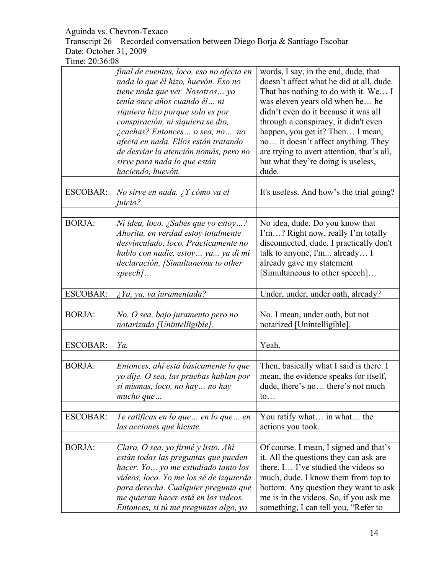Transcript 26 – Recorded conversation between Diego Borja & Santiago Escobar Date: October 31, 2009

|                 | final de cuentas, loco, eso no afecta en<br>nada lo que él hizo, huevón. Eso no<br>tiene nada que ver. Nosotros yo<br>tenía once años cuando él ni<br>siquiera hizo porque solo es por<br>conspiración, ni siquiera se dio,<br>¿cachas? Entonces o sea, no no<br>afecta en nada. Ellos están tratando<br>de desviar la atención nomás, pero no<br>sirve para nada lo que están<br>haciendo, huevón. | words, I say, in the end, dude, that<br>doesn't affect what he did at all, dude.<br>That has nothing to do with it. We I<br>was eleven years old when he he<br>didn't even do it because it was all<br>through a conspiracy, it didn't even<br>happen, you get it? Then I mean,<br>no it doesn't affect anything. They<br>are trying to avert attention, that's all,<br>but what they're doing is useless,<br>dude. |
|-----------------|-----------------------------------------------------------------------------------------------------------------------------------------------------------------------------------------------------------------------------------------------------------------------------------------------------------------------------------------------------------------------------------------------------|---------------------------------------------------------------------------------------------------------------------------------------------------------------------------------------------------------------------------------------------------------------------------------------------------------------------------------------------------------------------------------------------------------------------|
| <b>ESCOBAR:</b> | No sirve en nada. ¿Y cómo va el<br>juicio?                                                                                                                                                                                                                                                                                                                                                          | It's useless. And how's the trial going?                                                                                                                                                                                                                                                                                                                                                                            |
| <b>BORJA:</b>   | Ni idea, loco. ¿Sabes que yo estoy?<br>Ahorita, en verdad estoy totalmente<br>desvinculado, loco. Prácticamente no<br>hablo con nadie, estoy ya ya di mi<br>declaración, [Simultaneous to other<br>$speed$                                                                                                                                                                                          | No idea, dude. Do you know that<br>I'm? Right now, really I'm totally<br>disconnected, dude. I practically don't<br>talk to anyone, I'm already I<br>already gave my statement<br>[Simultaneous to other speech]                                                                                                                                                                                                    |
| <b>ESCOBAR:</b> | ¿Ya, ya, ya juramentada?                                                                                                                                                                                                                                                                                                                                                                            | Under, under, under oath, already?                                                                                                                                                                                                                                                                                                                                                                                  |
| <b>BORJA:</b>   | No. O sea, bajo juramento pero no<br>notarizada [Unintelligible].                                                                                                                                                                                                                                                                                                                                   | No. I mean, under oath, but not<br>notarized [Unintelligible].                                                                                                                                                                                                                                                                                                                                                      |
| <b>ESCOBAR:</b> | Ya.                                                                                                                                                                                                                                                                                                                                                                                                 | Yeah.                                                                                                                                                                                                                                                                                                                                                                                                               |
| <b>BORJA:</b>   | Entonces, ahí está básicamente lo que<br>yo dije. O sea, las pruebas hablan por<br>sí mismas, loco, no hay  no hay<br>$mucho\,que$                                                                                                                                                                                                                                                                  | Then, basically what I said is there. I<br>mean, the evidence speaks for itself,<br>dude, there's no there's not much<br>$\mathfrak{to}$                                                                                                                                                                                                                                                                            |
| <b>ESCOBAR:</b> | Te ratificas en lo que  en lo que  en<br>las acciones que hiciste.                                                                                                                                                                                                                                                                                                                                  | You ratify what in what the<br>actions you took.                                                                                                                                                                                                                                                                                                                                                                    |
| <b>BORJA:</b>   | Claro. O sea, yo firmé y listo. Ahí<br>están todas las preguntas que pueden<br>hacer. Yo  yo me estudiado tanto los<br>videos, loco. Yo me los sé de izquierda<br>para derecha. Cualquier pregunta que<br>me quieran hacer está en los videos.<br>Entonces, si tú me preguntas algo, yo                                                                                                             | Of course. I mean, I signed and that's<br>it. All the questions they can ask are<br>there. I I've studied the videos so<br>much, dude. I know them from top to<br>bottom. Any question they want to ask<br>me is in the videos. So, if you ask me<br>something, I can tell you, "Refer to                                                                                                                           |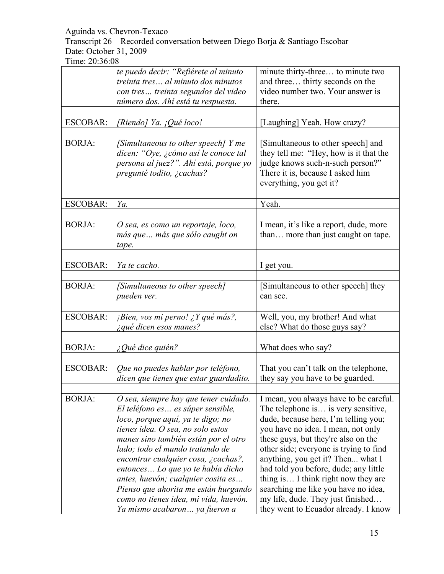Transcript 26 – Recorded conversation between Diego Borja & Santiago Escobar Date: October 31, 2009

|                 | te puedo decir: "Refiérete al minuto<br>treinta tres al minuto dos minutos                                                                                                                                                                                                                                                                                                                                                                                          | minute thirty-three to minute two<br>and three thirty seconds on the<br>video number two. Your answer is                                                                                                                                                                                                                                                                                                                                                                              |
|-----------------|---------------------------------------------------------------------------------------------------------------------------------------------------------------------------------------------------------------------------------------------------------------------------------------------------------------------------------------------------------------------------------------------------------------------------------------------------------------------|---------------------------------------------------------------------------------------------------------------------------------------------------------------------------------------------------------------------------------------------------------------------------------------------------------------------------------------------------------------------------------------------------------------------------------------------------------------------------------------|
|                 | con tres treinta segundos del video<br>número dos. Ahí está tu respuesta.                                                                                                                                                                                                                                                                                                                                                                                           | there.                                                                                                                                                                                                                                                                                                                                                                                                                                                                                |
|                 |                                                                                                                                                                                                                                                                                                                                                                                                                                                                     |                                                                                                                                                                                                                                                                                                                                                                                                                                                                                       |
| <b>ESCOBAR:</b> | [Riendo] Ya. ¡Qué loco!                                                                                                                                                                                                                                                                                                                                                                                                                                             | [Laughing] Yeah. How crazy?                                                                                                                                                                                                                                                                                                                                                                                                                                                           |
| <b>BORJA:</b>   | [Simultaneous to other speech] Y me<br>dicen: "Oye, ¿cómo así le conoce tal<br>persona al juez?". Ahí está, porque yo<br>pregunté todito, ¿cachas?                                                                                                                                                                                                                                                                                                                  | [Simultaneous to other speech] and<br>they tell me: "Hey, how is it that the<br>judge knows such-n-such person?"<br>There it is, because I asked him<br>everything, you get it?                                                                                                                                                                                                                                                                                                       |
| <b>ESCOBAR:</b> | Ya.                                                                                                                                                                                                                                                                                                                                                                                                                                                                 | Yeah.                                                                                                                                                                                                                                                                                                                                                                                                                                                                                 |
|                 |                                                                                                                                                                                                                                                                                                                                                                                                                                                                     |                                                                                                                                                                                                                                                                                                                                                                                                                                                                                       |
| <b>BORJA:</b>   | O sea, es como un reportaje, loco,<br>más que  más que sólo caught on<br>tape.                                                                                                                                                                                                                                                                                                                                                                                      | I mean, it's like a report, dude, more<br>than more than just caught on tape.                                                                                                                                                                                                                                                                                                                                                                                                         |
| <b>ESCOBAR:</b> | Ya te cacho.                                                                                                                                                                                                                                                                                                                                                                                                                                                        | I get you.                                                                                                                                                                                                                                                                                                                                                                                                                                                                            |
|                 |                                                                                                                                                                                                                                                                                                                                                                                                                                                                     |                                                                                                                                                                                                                                                                                                                                                                                                                                                                                       |
| <b>BORJA:</b>   | [Simultaneous to other speech]<br>pueden ver.                                                                                                                                                                                                                                                                                                                                                                                                                       | [Simultaneous to other speech] they<br>can see.                                                                                                                                                                                                                                                                                                                                                                                                                                       |
|                 |                                                                                                                                                                                                                                                                                                                                                                                                                                                                     |                                                                                                                                                                                                                                                                                                                                                                                                                                                                                       |
| <b>ESCOBAR:</b> | <i>¡Bien, vos mi perno! ¿Y qué más?,</i><br>¿qué dicen esos manes?                                                                                                                                                                                                                                                                                                                                                                                                  | Well, you, my brother! And what<br>else? What do those guys say?                                                                                                                                                                                                                                                                                                                                                                                                                      |
|                 |                                                                                                                                                                                                                                                                                                                                                                                                                                                                     |                                                                                                                                                                                                                                                                                                                                                                                                                                                                                       |
| <b>BORJA:</b>   | $i$ Qué dice quién?                                                                                                                                                                                                                                                                                                                                                                                                                                                 | What does who say?                                                                                                                                                                                                                                                                                                                                                                                                                                                                    |
| <b>ESCOBAR:</b> | Que no puedes hablar por teléfono,<br>dicen que tienes que estar guardadito.                                                                                                                                                                                                                                                                                                                                                                                        | That you can't talk on the telephone,<br>they say you have to be guarded.                                                                                                                                                                                                                                                                                                                                                                                                             |
| <b>BORJA:</b>   | O sea, siempre hay que tener cuidado.<br>El teléfono es es súper sensible,<br>loco, porque aquí, ya te digo; no<br>tienes idea. O sea, no solo estos<br>manes sino también están por el otro<br>lado; todo el mundo tratando de<br>encontrar cualquier cosa, ¿cachas?,<br>entonces Lo que yo te había dicho<br>antes, huevón; cualquier cosita es<br>Pienso que ahorita me están hurgando<br>como no tienes idea, mi vida, huevón.<br>Ya mismo acabaron ya fueron a | I mean, you always have to be careful.<br>The telephone is is very sensitive,<br>dude, because here, I'm telling you;<br>you have no idea. I mean, not only<br>these guys, but they're also on the<br>other side; everyone is trying to find<br>anything, you get it? Then what I<br>had told you before, dude; any little<br>thing is I think right now they are<br>searching me like you have no idea,<br>my life, dude. They just finished<br>they went to Ecuador already. I know |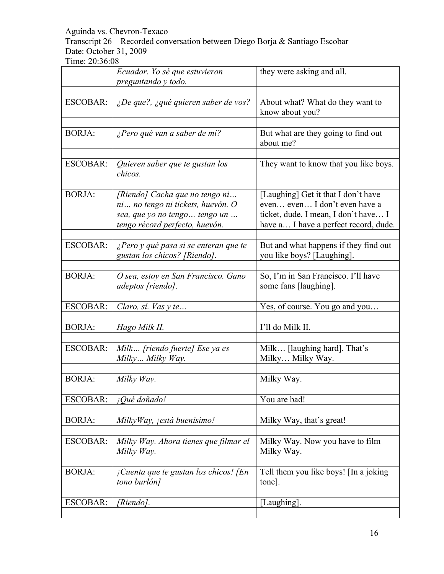Transcript 26 – Recorded conversation between Diego Borja & Santiago Escobar Date: October 31, 2009

|                 | Ecuador. Yo sé que estuvieron<br>preguntando y todo.                                                                                    | they were asking and all.                                                                                                                             |
|-----------------|-----------------------------------------------------------------------------------------------------------------------------------------|-------------------------------------------------------------------------------------------------------------------------------------------------------|
| <b>ESCOBAR:</b> | ¿De que?, ¿qué quieren saber de vos?                                                                                                    | About what? What do they want to<br>know about you?                                                                                                   |
| <b>BORJA:</b>   | ¿Pero qué van a saber de mí?                                                                                                            | But what are they going to find out<br>about me?                                                                                                      |
| <b>ESCOBAR:</b> | Quieren saber que te gustan los<br>chicos.                                                                                              | They want to know that you like boys.                                                                                                                 |
| <b>BORJA:</b>   | [Riendo] Cacha que no tengo ni<br>ni no tengo ni tickets, huevón. O<br>sea, que yo no tengo  tengo un<br>tengo récord perfecto, huevón. | [Laughing] Get it that I don't have<br>even even I don't even have a<br>ticket, dude. I mean, I don't have I<br>have a I have a perfect record, dude. |
| <b>ESCOBAR:</b> | ¿Pero y qué pasa si se enteran que te<br>gustan los chicos? [Riendo].                                                                   | But and what happens if they find out<br>you like boys? [Laughing].                                                                                   |
| <b>BORJA:</b>   | O sea, estoy en San Francisco. Gano<br>adeptos [riendo].                                                                                | So, I'm in San Francisco. I'll have<br>some fans [laughing].                                                                                          |
| <b>ESCOBAR:</b> | Claro, sí. Vas y te                                                                                                                     | Yes, of course. You go and you                                                                                                                        |
| <b>BORJA:</b>   | Hago Milk II.                                                                                                                           | I'll do Milk II.                                                                                                                                      |
| <b>ESCOBAR:</b> | Milk [riendo fuerte] Ese ya es<br>Milky Milky Way.                                                                                      | Milk [laughing hard]. That's<br>Milky Milky Way.                                                                                                      |
| <b>BORJA:</b>   | Milky Way.                                                                                                                              | Milky Way.                                                                                                                                            |
| <b>ESCOBAR:</b> | ¡Qué dañado!                                                                                                                            | You are bad!                                                                                                                                          |
| <b>BORJA:</b>   | MilkyWay, jestá buenísimo!                                                                                                              | Milky Way, that's great!                                                                                                                              |
| <b>ESCOBAR:</b> | Milky Way. Ahora tienes que filmar el<br>Milky Way.                                                                                     | Milky Way. Now you have to film<br>Milky Way.                                                                                                         |
| <b>BORJA:</b>   | ¡Cuenta que te gustan los chicos! [En<br>tono burlón]                                                                                   | Tell them you like boys! [In a joking<br>tone].                                                                                                       |
| <b>ESCOBAR:</b> | [Riendo].                                                                                                                               | [Laughing].                                                                                                                                           |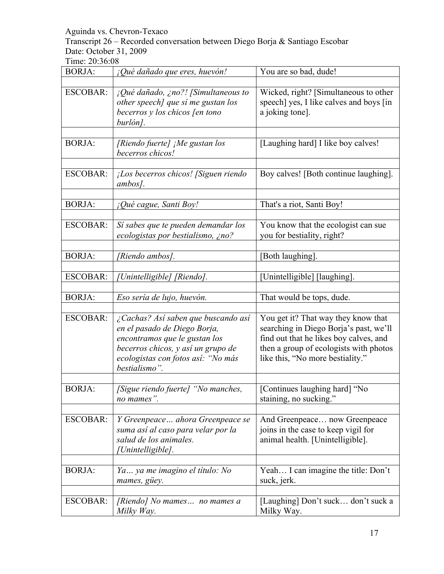Transcript 26 – Recorded conversation between Diego Borja & Santiago Escobar Date: October 31, 2009

| <b>BORJA:</b>   | ¡Qué dañado que eres, huevón!                                                                                                                                                                     | You are so bad, dude!                                                                                                                                                                                 |
|-----------------|---------------------------------------------------------------------------------------------------------------------------------------------------------------------------------------------------|-------------------------------------------------------------------------------------------------------------------------------------------------------------------------------------------------------|
|                 |                                                                                                                                                                                                   |                                                                                                                                                                                                       |
| ESCOBAR:        | $i$ Qué dañado, ¿no?! [Simultaneous to<br>other speech] que sí me gustan los<br>becerros y los chicos [en tono<br>burlón].                                                                        | Wicked, right? [Simultaneous to other<br>speech] yes, I like calves and boys [in]<br>a joking tone].                                                                                                  |
|                 |                                                                                                                                                                                                   |                                                                                                                                                                                                       |
| <b>BORJA:</b>   | [Riendo fuerte] ¡Me gustan los<br>becerros chicos!                                                                                                                                                | [Laughing hard] I like boy calves!                                                                                                                                                                    |
| <b>ESCOBAR:</b> | ¡Los becerros chicos! [Siguen riendo<br>ambos].                                                                                                                                                   | Boy calves! [Both continue laughing].                                                                                                                                                                 |
|                 |                                                                                                                                                                                                   |                                                                                                                                                                                                       |
| <b>BORJA:</b>   | ¡Qué cague, Santi Boy!                                                                                                                                                                            | That's a riot, Santi Boy!                                                                                                                                                                             |
| <b>ESCOBAR:</b> | Sí sabes que te pueden demandar los<br>ecologistas por bestialismo, ¿no?                                                                                                                          | You know that the ecologist can sue<br>you for bestiality, right?                                                                                                                                     |
| <b>BORJA:</b>   | [Riendo ambos].                                                                                                                                                                                   | [Both laughing].                                                                                                                                                                                      |
| <b>ESCOBAR:</b> | [Unintelligible] [Riendo].                                                                                                                                                                        | [Unintelligible] [laughing].                                                                                                                                                                          |
| <b>BORJA:</b>   | Eso sería de lujo, huevón.                                                                                                                                                                        | That would be tops, dude.                                                                                                                                                                             |
|                 |                                                                                                                                                                                                   |                                                                                                                                                                                                       |
| <b>ESCOBAR:</b> | ¿Cachas? Así saben que buscando así<br>en el pasado de Diego Borja,<br>encontramos que le gustan los<br>becerros chicos, y así un grupo de<br>ecologistas con fotos así: "No más<br>bestialismo". | You get it? That way they know that<br>searching in Diego Borja's past, we'll<br>find out that he likes boy calves, and<br>then a group of ecologists with photos<br>like this, "No more bestiality." |
| <b>BORJA:</b>   | [Sigue riendo fuerte] "No manches,<br>no mames".                                                                                                                                                  | [Continues laughing hard] "No<br>staining, no sucking."                                                                                                                                               |
| <b>ESCOBAR:</b> | Y Greenpeace  ahora Greenpeace se<br>suma así al caso para velar por la<br>salud de los animales.<br>[Unintelligible].                                                                            | And Greenpeace now Greenpeace<br>joins in the case to keep vigil for<br>animal health. [Unintelligible].                                                                                              |
| <b>BORJA:</b>   | Ya ya me imagino el título: No<br>mames, güey.                                                                                                                                                    | Yeah I can imagine the title: Don't<br>suck, jerk.                                                                                                                                                    |
| <b>ESCOBAR:</b> | [Riendo] No mames no mames a<br>Milky Way.                                                                                                                                                        | [Laughing] Don't suck don't suck a<br>Milky Way.                                                                                                                                                      |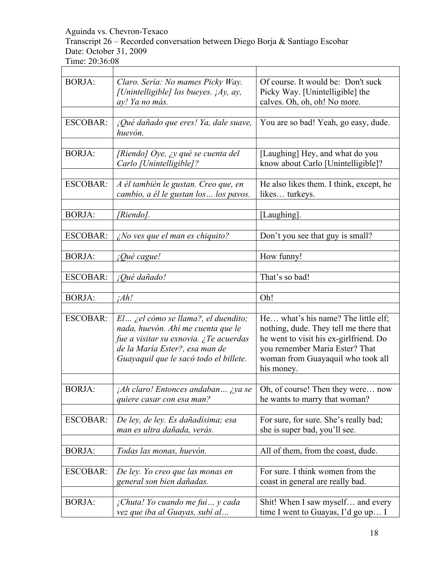Transcript 26 – Recorded conversation between Diego Borja & Santiago Escobar Date: October 31, 2009

| <b>BORJA:</b>   | Claro. Sería: No mames Picky Way.<br>[Unintelligible] los bueyes. ¡Ay, ay,<br>ay! Ya no más. | Of course. It would be: Don't suck<br>Picky Way. [Unintelligible] the<br>calves. Oh, oh, oh! No more. |
|-----------------|----------------------------------------------------------------------------------------------|-------------------------------------------------------------------------------------------------------|
|                 |                                                                                              |                                                                                                       |
| <b>ESCOBAR:</b> | ¡Qué dañado que eres! Ya, dale suave,<br>huevón.                                             | You are so bad! Yeah, go easy, dude.                                                                  |
|                 |                                                                                              |                                                                                                       |
| <b>BORJA:</b>   | [Riendo] Oye, ¿y qué se cuenta del<br>Carlo [Unintelligible]?                                | [Laughing] Hey, and what do you<br>know about Carlo [Unintelligible]?                                 |
|                 |                                                                                              |                                                                                                       |
| <b>ESCOBAR:</b> | A él también le gustan. Creo que, en<br>cambio, a él le gustan los  los pavos.               | He also likes them. I think, except, he<br>likes turkeys.                                             |
|                 |                                                                                              |                                                                                                       |
| <b>BORJA:</b>   | [Riendo].                                                                                    | [Laughing].                                                                                           |
|                 |                                                                                              |                                                                                                       |
| <b>ESCOBAR:</b> | $\zeta$ No ves que el man es chiquito?                                                       | Don't you see that guy is small?                                                                      |
|                 |                                                                                              |                                                                                                       |
| <b>BORJA:</b>   | <i>iQué cague!</i>                                                                           | How funny!                                                                                            |
|                 |                                                                                              |                                                                                                       |
| <b>ESCOBAR:</b> | ¡Qué dañado!                                                                                 | That's so bad!                                                                                        |
|                 |                                                                                              |                                                                                                       |
| <b>BORJA:</b>   | iAh!                                                                                         | Oh!                                                                                                   |
|                 |                                                                                              |                                                                                                       |
| <b>ESCOBAR:</b> | $El$ ¿el cómo se llama?, el duendito;                                                        | He what's his name? The little elf;                                                                   |
|                 | nada, huevón. Ahí me cuenta que le                                                           | nothing, dude. They tell me there that                                                                |
|                 | fue a visitar su exnovia. ¿Te acuerdas                                                       | he went to visit his ex-girlfriend. Do                                                                |
|                 | de la María Ester?, esa man de                                                               | you remember Maria Ester? That                                                                        |
|                 | Guayaquil que le sacó todo el billete.                                                       | woman from Guayaquil who took all                                                                     |
|                 |                                                                                              | his money.                                                                                            |
|                 |                                                                                              |                                                                                                       |
| <b>BORJA:</b>   | $i$ Ah claro! Entonces andaban $i$ ya se                                                     | Oh, of course! Then they were now                                                                     |
|                 | quiere casar con esa man?                                                                    | he wants to marry that woman?                                                                         |
|                 |                                                                                              |                                                                                                       |
| <b>ESCOBAR:</b> | De ley, de ley. Es dañadísima; esa                                                           | For sure, for sure. She's really bad;                                                                 |
|                 | man es ultra dañada, verás.                                                                  | she is super bad, you'll see.                                                                         |
|                 |                                                                                              |                                                                                                       |
| <b>BORJA:</b>   | Todas las monas, huevón.                                                                     | All of them, from the coast, dude.                                                                    |
|                 |                                                                                              |                                                                                                       |
| <b>ESCOBAR:</b> | De ley. Yo creo que las monas en                                                             | For sure. I think women from the                                                                      |
|                 | general son bien dañadas.                                                                    | coast in general are really bad.                                                                      |
|                 |                                                                                              |                                                                                                       |
| <b>BORJA:</b>   | ¡Chuta! Yo cuando me fui y cada                                                              | Shit! When I saw myself and every                                                                     |
|                 | vez que iba al Guayas, subí al                                                               | time I went to Guayas, I'd go up I                                                                    |
|                 |                                                                                              |                                                                                                       |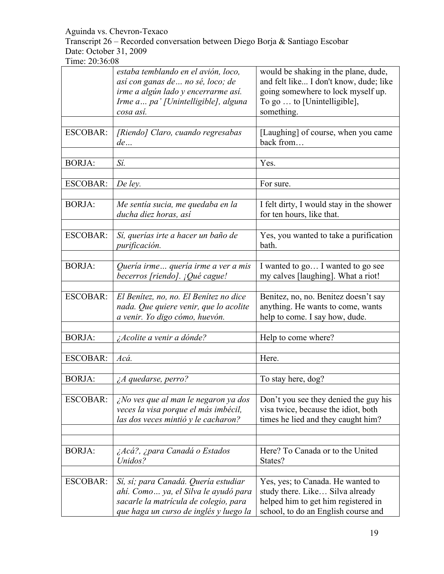Transcript 26 – Recorded conversation between Diego Borja & Santiago Escobar Date: October 31, 2009

|                 | estaba temblando en el avión, loco,<br>así con ganas de  no sé, loco; de | would be shaking in the plane, dude,<br>and felt like I don't know, dude; like |
|-----------------|--------------------------------------------------------------------------|--------------------------------------------------------------------------------|
|                 | irme a algún lado y encerrarme así.                                      | going somewhere to lock myself up.                                             |
|                 | Irme a pa' [Unintelligible], alguna                                      | To go  to [Unintelligible],                                                    |
|                 | cosa así.                                                                | something.                                                                     |
|                 |                                                                          |                                                                                |
| <b>ESCOBAR:</b> | [Riendo] Claro, cuando regresabas                                        | [Laughing] of course, when you came                                            |
|                 | de                                                                       | back from                                                                      |
| <b>BORJA:</b>   | Sí.                                                                      | Yes.                                                                           |
|                 |                                                                          |                                                                                |
| <b>ESCOBAR:</b> | De ley.                                                                  | For sure.                                                                      |
|                 |                                                                          |                                                                                |
| <b>BORJA:</b>   | Me sentía sucia, me quedaba en la<br>ducha diez horas, así               | I felt dirty, I would stay in the shower<br>for ten hours, like that.          |
|                 |                                                                          |                                                                                |
| <b>ESCOBAR:</b> | Sí, querías irte a hacer un baño de<br>purificación.                     | Yes, you wanted to take a purification<br>bath.                                |
|                 |                                                                          |                                                                                |
| <b>BORJA:</b>   | Quería irme quería irme a ver a mis<br>becerros [riendo]. ¡Qué cague!    | I wanted to go I wanted to go see<br>my calves [laughing]. What a riot!        |
|                 |                                                                          |                                                                                |
| <b>ESCOBAR:</b> | El Benítez, no, no. El Benítez no dice                                   | Benitez, no, no. Benitez doesn't say                                           |
|                 | nada. Que quiere venir, que lo acolite                                   | anything. He wants to come, wants                                              |
|                 | a venir. Yo digo cómo, huevón.                                           | help to come. I say how, dude.                                                 |
| <b>BORJA:</b>   |                                                                          |                                                                                |
|                 | ¿Acolite a venir a dónde?                                                | Help to come where?                                                            |
| <b>ESCOBAR:</b> | Acá.                                                                     | Here.                                                                          |
|                 |                                                                          |                                                                                |
| <b>BORJA:</b>   | $\lambda A$ quedarse, perro?                                             | To stay here, dog?                                                             |
|                 |                                                                          |                                                                                |
| <b>ESCOBAR:</b> | ¿No ves que al man le negaron ya dos                                     | Don't you see they denied the guy his                                          |
|                 | veces la visa porque el más imbécil,                                     | visa twice, because the idiot, both                                            |
|                 | las dos veces mintió y le cacharon?                                      | times he lied and they caught him?                                             |
|                 |                                                                          |                                                                                |
|                 |                                                                          |                                                                                |
| <b>BORJA:</b>   | ¿Acá?, ¿para Canadá o Estados<br>Unidos?                                 | Here? To Canada or to the United<br>States?                                    |
|                 |                                                                          |                                                                                |
| <b>ESCOBAR:</b> | Sí, sí; para Canadá. Quería estudiar                                     | Yes, yes; to Canada. He wanted to                                              |
|                 | ahí. Como  ya, el Silva le ayudó para                                    | study there. Like Silva already                                                |
|                 | sacarle la matrícula de colegio, para                                    | helped him to get him registered in                                            |
|                 | que haga un curso de inglés y luego la                                   | school, to do an English course and                                            |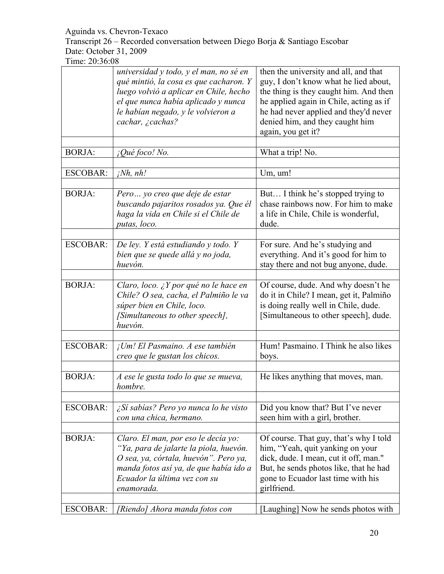Transcript 26 – Recorded conversation between Diego Borja & Santiago Escobar Date: October 31, 2009

|                 | universidad y todo, y el man, no sé en<br>qué mintió, la cosa es que cacharon. Y<br>luego volvió a aplicar en Chile, hecho<br>el que nunca había aplicado y nunca<br>le habían negado, y le volvieron a<br>cachar, ¿cachas? | then the university and all, and that<br>guy, I don't know what he lied about,<br>the thing is they caught him. And then<br>he applied again in Chile, acting as if<br>he had never applied and they'd never<br>denied him, and they caught him<br>again, you get it? |
|-----------------|-----------------------------------------------------------------------------------------------------------------------------------------------------------------------------------------------------------------------------|-----------------------------------------------------------------------------------------------------------------------------------------------------------------------------------------------------------------------------------------------------------------------|
| <b>BORJA:</b>   | ¡Qué foco! No.                                                                                                                                                                                                              | What a trip! No.                                                                                                                                                                                                                                                      |
| <b>ESCOBAR:</b> | $i^{Nh}$ , nh!                                                                                                                                                                                                              | Um, um!                                                                                                                                                                                                                                                               |
| <b>BORJA:</b>   | Pero  yo creo que deje de estar<br>buscando pajaritos rosados ya. Que él<br>haga la vida en Chile si el Chile de<br>putas, loco.                                                                                            | But I think he's stopped trying to<br>chase rainbows now. For him to make<br>a life in Chile, Chile is wonderful,<br>dude.                                                                                                                                            |
| <b>ESCOBAR:</b> | De ley. Y está estudiando y todo. Y<br>bien que se quede allá y no joda,<br>huevón.                                                                                                                                         | For sure. And he's studying and<br>everything. And it's good for him to<br>stay there and not bug anyone, dude.                                                                                                                                                       |
| <b>BORJA:</b>   | Claro, loco. ¿Y por qué no le hace en<br>Chile? O sea, cacha, el Palmiño le va<br>súper bien en Chile, loco.<br>[Simultaneous to other speech],<br>huevón.                                                                  | Of course, dude. And why doesn't he<br>do it in Chile? I mean, get it, Palmiño<br>is doing really well in Chile, dude.<br>[Simultaneous to other speech], dude.                                                                                                       |
| <b>ESCOBAR:</b> | ¡Um! El Pasmaino. A ese también<br>creo que le gustan los chicos.                                                                                                                                                           | Hum! Pasmaino. I Think he also likes<br>boys.                                                                                                                                                                                                                         |
| <b>BORJA:</b>   | A ese le gusta todo lo que se mueva,<br>hombre.                                                                                                                                                                             | He likes anything that moves, man.                                                                                                                                                                                                                                    |
| <b>ESCOBAR:</b> | ¿Sí sabías? Pero yo nunca lo he visto<br>con una chica, hermano.                                                                                                                                                            | Did you know that? But I've never<br>seen him with a girl, brother.                                                                                                                                                                                                   |
| <b>BORJA:</b>   | Claro. El man, por eso le decía yo:<br>"Ya, para de jalarte la piola, huevón.<br>O sea, ya, córtala, huevón". Pero ya,<br>manda fotos así ya, de que había ido a<br>Ecuador la última vez con su<br>enamorada.              | Of course. That guy, that's why I told<br>him, "Yeah, quit yanking on your<br>dick, dude. I mean, cut it off, man."<br>But, he sends photos like, that he had<br>gone to Ecuador last time with his<br>girlfriend.                                                    |
| ESCOBAR:        | [Riendo] Ahora manda fotos con                                                                                                                                                                                              | [Laughing] Now he sends photos with                                                                                                                                                                                                                                   |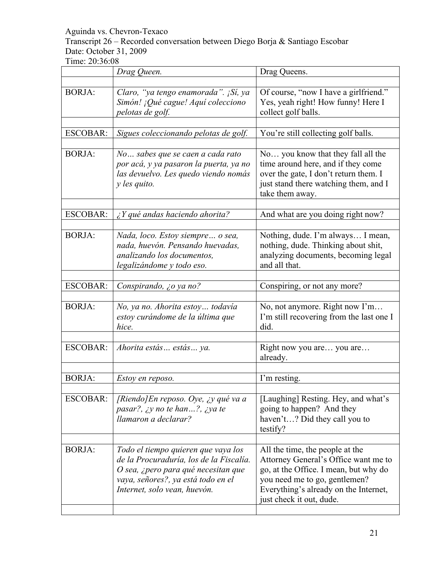# Transcript 26 – Recorded conversation between Diego Borja & Santiago Escobar Date: October 31, 2009

|                 | Drag Queen.                                                                                                                                                                                 | Drag Queens.                                                                                                                                                                                                           |
|-----------------|---------------------------------------------------------------------------------------------------------------------------------------------------------------------------------------------|------------------------------------------------------------------------------------------------------------------------------------------------------------------------------------------------------------------------|
| <b>BORJA:</b>   | Claro, "ya tengo enamorada". ¡Sí, ya<br>Simón! ¡Qué cague! Aquí colecciono<br>pelotas de golf.                                                                                              | Of course, "now I have a girlfriend."<br>Yes, yeah right! How funny! Here I<br>collect golf balls.                                                                                                                     |
| <b>ESCOBAR:</b> | Sigues coleccionando pelotas de golf.                                                                                                                                                       | You're still collecting golf balls.                                                                                                                                                                                    |
| <b>BORJA:</b>   | No sabes que se caen a cada rato<br>por acá, y ya pasaron la puerta, ya no<br>las devuelvo. Les quedo viendo nomás<br>$\gamma$ les quito.                                                   | No you know that they fall all the<br>time around here, and if they come<br>over the gate, I don't return them. I<br>just stand there watching them, and I<br>take them away.                                          |
| <b>ESCOBAR:</b> | $i Y$ qué andas haciendo ahorita?                                                                                                                                                           | And what are you doing right now?                                                                                                                                                                                      |
| <b>BORJA:</b>   | Nada, loco. Estoy siempre o sea,<br>nada, huevón. Pensando huevadas,<br>analizando los documentos,<br>legalizándome y todo eso.                                                             | Nothing, dude. I'm always I mean,<br>nothing, dude. Thinking about shit,<br>analyzing documents, becoming legal<br>and all that.                                                                                       |
| <b>ESCOBAR:</b> | Conspirando, ¿o ya no?                                                                                                                                                                      | Conspiring, or not any more?                                                                                                                                                                                           |
| <b>BORJA:</b>   | No, ya no. Ahorita estoy todavia<br>estoy curándome de la última que<br>hice.                                                                                                               | No, not anymore. Right now I'm<br>I'm still recovering from the last one I<br>did.                                                                                                                                     |
| <b>ESCOBAR:</b> | Ahorita estás estás ya.                                                                                                                                                                     | Right now you are you are<br>already.                                                                                                                                                                                  |
| <b>BORJA:</b>   | Estoy en reposo.                                                                                                                                                                            | I'm resting.                                                                                                                                                                                                           |
| <b>ESCOBAR:</b> | [Riendo] En reposo. Oye, ¿y qué va a<br>pasar?, ¿y no te han?, ¿ya te<br>llamaron a declarar?                                                                                               | [Laughing] Resting. Hey, and what's<br>going to happen? And they<br>haven't? Did they call you to<br>testify?                                                                                                          |
|                 |                                                                                                                                                                                             |                                                                                                                                                                                                                        |
| <b>BORJA:</b>   | Todo el tiempo quieren que vaya los<br>de la Procuraduría, los de la Fiscalía.<br>O sea, ¿pero para qué necesitan que<br>vaya, señores?, ya está todo en el<br>Internet, solo vean, huevón. | All the time, the people at the<br>Attorney General's Office want me to<br>go, at the Office. I mean, but why do<br>you need me to go, gentlemen?<br>Everything's already on the Internet,<br>just check it out, dude. |
|                 |                                                                                                                                                                                             |                                                                                                                                                                                                                        |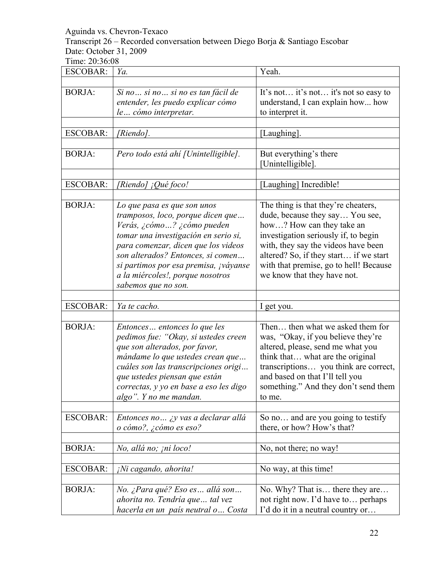Transcript 26 – Recorded conversation between Diego Borja & Santiago Escobar Date: October 31, 2009

| <b>ESCOBAR:</b> | Ya.                                                                                                                                                                                                                                                                                                                     | Yeah.                                                                                                                                                                                                                                                                                                 |
|-----------------|-------------------------------------------------------------------------------------------------------------------------------------------------------------------------------------------------------------------------------------------------------------------------------------------------------------------------|-------------------------------------------------------------------------------------------------------------------------------------------------------------------------------------------------------------------------------------------------------------------------------------------------------|
|                 |                                                                                                                                                                                                                                                                                                                         |                                                                                                                                                                                                                                                                                                       |
| <b>BORJA:</b>   | Si no  si no  si no es tan fácil de<br>entender, les puedo explicar cómo<br>le cómo interpretar.                                                                                                                                                                                                                        | It's not it's not it's not so easy to<br>understand, I can explain how how<br>to interpret it.                                                                                                                                                                                                        |
| <b>ESCOBAR:</b> | [Riendo].                                                                                                                                                                                                                                                                                                               | [Laughing].                                                                                                                                                                                                                                                                                           |
| <b>BORJA:</b>   | Pero todo está ahí [Unintelligible].                                                                                                                                                                                                                                                                                    | But everything's there<br>[Unintelligible]                                                                                                                                                                                                                                                            |
| <b>ESCOBAR:</b> | [Riendo] ¡Qué foco!                                                                                                                                                                                                                                                                                                     | [Laughing] Incredible!                                                                                                                                                                                                                                                                                |
| <b>BORJA:</b>   | Lo que pasa es que son unos<br>tramposos, loco, porque dicen que<br>Verás, ¿cómo ? ¿cómo pueden<br>tomar una investigación en serio si,<br>para comenzar, dicen que los videos<br>son alterados? Entonces, si comen<br>si partimos por esa premisa, ¡váyanse<br>a la miércoles!, porque nosotros<br>sabemos que no son. | The thing is that they're cheaters,<br>dude, because they say You see,<br>how? How can they take an<br>investigation seriously if, to begin<br>with, they say the videos have been<br>altered? So, if they start if we start<br>with that premise, go to hell! Because<br>we know that they have not. |
| <b>ESCOBAR:</b> | Ya te cacho.                                                                                                                                                                                                                                                                                                            | I get you.                                                                                                                                                                                                                                                                                            |
|                 |                                                                                                                                                                                                                                                                                                                         |                                                                                                                                                                                                                                                                                                       |
| <b>BORJA:</b>   | Entonces entonces lo que les<br>pedimos fue: "Okay, si ustedes creen<br>que son alterados, por favor,<br>mándame lo que ustedes crean que<br>cuáles son las transcripciones origi<br>que ustedes piensan que están<br>correctas, y yo en base a eso les digo<br>algo". Y no me mandan.                                  | Then then what we asked them for<br>was, "Okay, if you believe they're<br>altered, please, send me what you<br>think that what are the original<br>transcriptions you think are correct,<br>and based on that I'll tell you<br>something." And they don't send them<br>to me.                         |
| <b>ESCOBAR:</b> | Entonces no  ¿y vas a declarar allá<br>o cómo?, ¿cómo es eso?                                                                                                                                                                                                                                                           | So no and are you going to testify<br>there, or how? How's that?                                                                                                                                                                                                                                      |
|                 |                                                                                                                                                                                                                                                                                                                         |                                                                                                                                                                                                                                                                                                       |
| <b>BORJA:</b>   | No, allá no; ¡ni loco!                                                                                                                                                                                                                                                                                                  | No, not there; no way!                                                                                                                                                                                                                                                                                |
| <b>ESCOBAR:</b> | ¡Ni cagando, ahorita!                                                                                                                                                                                                                                                                                                   | No way, at this time!                                                                                                                                                                                                                                                                                 |
| <b>BORJA:</b>   | No. ¿Para qué? Eso es  allá son<br>ahorita no. Tendría que  tal vez<br>hacerla en un país neutral o Costa                                                                                                                                                                                                               | No. Why? That is there they are<br>not right now. I'd have to perhaps<br>I'd do it in a neutral country or                                                                                                                                                                                            |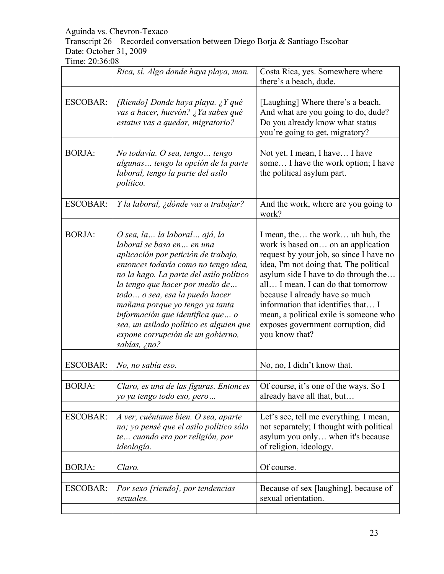Transcript 26 – Recorded conversation between Diego Borja & Santiago Escobar Date: October 31, 2009

|                 | Rica, sí. Algo donde haya playa, man.                                                                                                                                                                                                                                                                                                                                                                                              | Costa Rica, yes. Somewhere where<br>there's a beach, dude.                                                                                                                                                                                                                                                                                                                                                           |
|-----------------|------------------------------------------------------------------------------------------------------------------------------------------------------------------------------------------------------------------------------------------------------------------------------------------------------------------------------------------------------------------------------------------------------------------------------------|----------------------------------------------------------------------------------------------------------------------------------------------------------------------------------------------------------------------------------------------------------------------------------------------------------------------------------------------------------------------------------------------------------------------|
|                 |                                                                                                                                                                                                                                                                                                                                                                                                                                    |                                                                                                                                                                                                                                                                                                                                                                                                                      |
| <b>ESCOBAR:</b> | [Riendo] Donde haya playa. ¿Y qué<br>vas a hacer, huevón? ¿Ya sabes qué<br>estatus vas a quedar, migratorio?                                                                                                                                                                                                                                                                                                                       | [Laughing] Where there's a beach.<br>And what are you going to do, dude?<br>Do you already know what status<br>you're going to get, migratory?                                                                                                                                                                                                                                                                       |
| <b>BORJA:</b>   | No todavía. O sea, tengo  tengo<br>algunas  tengo la opción de la parte<br>laboral, tengo la parte del asilo<br>político.                                                                                                                                                                                                                                                                                                          | Not yet. I mean, I have I have<br>some I have the work option; I have<br>the political asylum part.                                                                                                                                                                                                                                                                                                                  |
|                 |                                                                                                                                                                                                                                                                                                                                                                                                                                    |                                                                                                                                                                                                                                                                                                                                                                                                                      |
| <b>ESCOBAR:</b> | Y la laboral, ¿dónde vas a trabajar?                                                                                                                                                                                                                                                                                                                                                                                               | And the work, where are you going to<br>work?                                                                                                                                                                                                                                                                                                                                                                        |
| <b>BORJA:</b>   | O sea, la  la laboral  ajá, la<br>laboral se basa en en una<br>aplicación por petición de trabajo,<br>entonces todavía como no tengo idea,<br>no la hago. La parte del asilo político<br>la tengo que hacer por medio de<br>todo o sea, esa la puedo hacer<br>mañana porque yo tengo ya tanta<br>información que identifica que  o<br>sea, un asilado político es alguien que<br>expone corrupción de un gobierno,<br>sabias, ¿no? | I mean, the the work uh huh, the<br>work is based on on an application<br>request by your job, so since I have no<br>idea, I'm not doing that. The political<br>asylum side I have to do through the<br>all I mean, I can do that tomorrow<br>because I already have so much<br>information that identifies that I<br>mean, a political exile is someone who<br>exposes government corruption, did<br>you know that? |
| <b>ESCOBAR:</b> | No, no sabía eso.                                                                                                                                                                                                                                                                                                                                                                                                                  | No, no, I didn't know that.                                                                                                                                                                                                                                                                                                                                                                                          |
|                 |                                                                                                                                                                                                                                                                                                                                                                                                                                    |                                                                                                                                                                                                                                                                                                                                                                                                                      |
| <b>BORJA:</b>   | Claro, es una de las figuras. Entonces<br>yo ya tengo todo eso, pero                                                                                                                                                                                                                                                                                                                                                               | Of course, it's one of the ways. So I<br>already have all that, but                                                                                                                                                                                                                                                                                                                                                  |
| <b>ESCOBAR:</b> | A ver, cuéntame bien. O sea, aparte<br>no; yo pensé que el asilo político sólo<br>te cuando era por religión, por<br>ideología.                                                                                                                                                                                                                                                                                                    | Let's see, tell me everything. I mean,<br>not separately; I thought with political<br>asylum you only when it's because<br>of religion, ideology.                                                                                                                                                                                                                                                                    |
|                 |                                                                                                                                                                                                                                                                                                                                                                                                                                    |                                                                                                                                                                                                                                                                                                                                                                                                                      |
| <b>BORJA:</b>   | Claro.                                                                                                                                                                                                                                                                                                                                                                                                                             | Of course.                                                                                                                                                                                                                                                                                                                                                                                                           |
| <b>ESCOBAR:</b> | Por sexo [riendo], por tendencias<br>sexuales.                                                                                                                                                                                                                                                                                                                                                                                     | Because of sex [laughing], because of<br>sexual orientation.                                                                                                                                                                                                                                                                                                                                                         |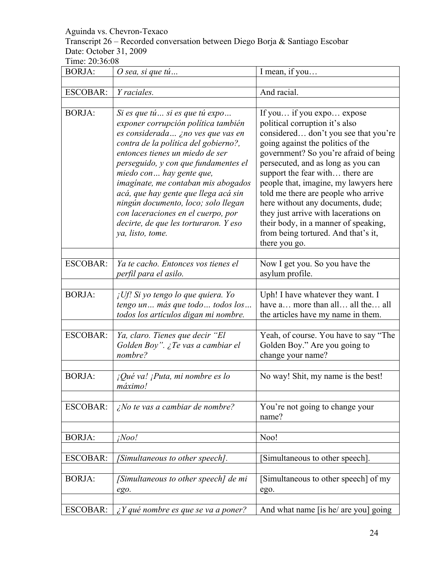Transcript 26 – Recorded conversation between Diego Borja & Santiago Escobar Date: October 31, 2009

| <b>BORJA:</b>   | O sea, si que tú                                                                                                                                                                                                                                                                                                                                                                                                                                                                    | I mean, if you                                                                                                                                                                                                                                                                                                                                                                                                                                                                                                          |
|-----------------|-------------------------------------------------------------------------------------------------------------------------------------------------------------------------------------------------------------------------------------------------------------------------------------------------------------------------------------------------------------------------------------------------------------------------------------------------------------------------------------|-------------------------------------------------------------------------------------------------------------------------------------------------------------------------------------------------------------------------------------------------------------------------------------------------------------------------------------------------------------------------------------------------------------------------------------------------------------------------------------------------------------------------|
|                 |                                                                                                                                                                                                                                                                                                                                                                                                                                                                                     |                                                                                                                                                                                                                                                                                                                                                                                                                                                                                                                         |
| <b>ESCOBAR:</b> | Y raciales.                                                                                                                                                                                                                                                                                                                                                                                                                                                                         | And racial.                                                                                                                                                                                                                                                                                                                                                                                                                                                                                                             |
| <b>BORJA:</b>   | Si es que tú  si es que tú expo<br>exponer corrupción política también<br>es considerada ¿no ves que vas en<br>contra de la política del gobierno?,<br>entonces tienes un miedo de ser<br>perseguido, y con que fundamentes el<br>miedo con hay gente que,<br>imaginate, me contaban mis abogados<br>acá, que hay gente que llega acá sin<br>ningún documento, loco; solo llegan<br>con laceraciones en el cuerpo, por<br>decirte, de que les torturaron. Y eso<br>ya, listo, tome. | If you if you expo expose<br>political corruption it's also<br>considered don't you see that you're<br>going against the politics of the<br>government? So you're afraid of being<br>persecuted, and as long as you can<br>support the fear with there are<br>people that, imagine, my lawyers here<br>told me there are people who arrive<br>here without any documents, dude;<br>they just arrive with lacerations on<br>their body, in a manner of speaking,<br>from being tortured. And that's it,<br>there you go. |
| <b>ESCOBAR:</b> | Ya te cacho. Entonces vos tienes el                                                                                                                                                                                                                                                                                                                                                                                                                                                 | Now I get you. So you have the                                                                                                                                                                                                                                                                                                                                                                                                                                                                                          |
|                 | perfil para el asilo.                                                                                                                                                                                                                                                                                                                                                                                                                                                               | asylum profile.                                                                                                                                                                                                                                                                                                                                                                                                                                                                                                         |
| <b>BORJA:</b>   | ¡Uf! Si yo tengo lo que quiera. Yo<br>tengo un  más que todo  todos los<br>todos los artículos digan mi nombre.                                                                                                                                                                                                                                                                                                                                                                     | Uph! I have whatever they want. I<br>have a more than all all the all<br>the articles have my name in them.                                                                                                                                                                                                                                                                                                                                                                                                             |
| <b>ESCOBAR:</b> | Ya, claro. Tienes que decir "El<br>Golden Boy". ¿Te vas a cambiar el<br>nombre?                                                                                                                                                                                                                                                                                                                                                                                                     | Yeah, of course. You have to say "The<br>Golden Boy." Are you going to<br>change your name?                                                                                                                                                                                                                                                                                                                                                                                                                             |
| <b>BORJA:</b>   | ¡Qué va! ¡Puta, mi nombre es lo<br>máximo!                                                                                                                                                                                                                                                                                                                                                                                                                                          | No way! Shit, my name is the best!                                                                                                                                                                                                                                                                                                                                                                                                                                                                                      |
| <b>ESCOBAR:</b> | $\lambda$ No te vas a cambiar de nombre?                                                                                                                                                                                                                                                                                                                                                                                                                                            | You're not going to change your<br>name?                                                                                                                                                                                                                                                                                                                                                                                                                                                                                |
| <b>BORJA:</b>   | iNoo!                                                                                                                                                                                                                                                                                                                                                                                                                                                                               | Noo!                                                                                                                                                                                                                                                                                                                                                                                                                                                                                                                    |
|                 |                                                                                                                                                                                                                                                                                                                                                                                                                                                                                     |                                                                                                                                                                                                                                                                                                                                                                                                                                                                                                                         |
| <b>ESCOBAR:</b> | [Simultaneous to other speech].                                                                                                                                                                                                                                                                                                                                                                                                                                                     | [Simultaneous to other speech].                                                                                                                                                                                                                                                                                                                                                                                                                                                                                         |
| <b>BORJA:</b>   | [Simultaneous to other speech] de mi<br>ego.                                                                                                                                                                                                                                                                                                                                                                                                                                        | [Simultaneous to other speech] of my<br>ego.                                                                                                                                                                                                                                                                                                                                                                                                                                                                            |
| <b>ESCOBAR:</b> | $\lambda$ <i>Y</i> qué nombre es que se va a poner?                                                                                                                                                                                                                                                                                                                                                                                                                                 | And what name [is he/ are you] going                                                                                                                                                                                                                                                                                                                                                                                                                                                                                    |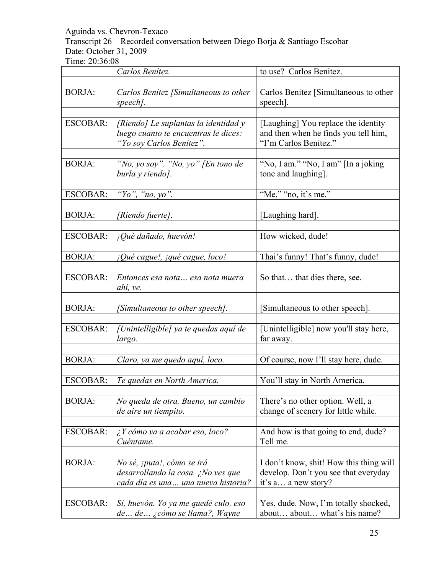Transcript 26 – Recorded conversation between Diego Borja & Santiago Escobar Date: October 31, 2009

|                 | Carlos Benítez.                                                                                          | to use? Carlos Benitez.                                                                                |
|-----------------|----------------------------------------------------------------------------------------------------------|--------------------------------------------------------------------------------------------------------|
| <b>BORJA:</b>   | Carlos Benitez [Simultaneous to other<br>speech].                                                        | Carlos Benitez [Simultaneous to other<br>speech].                                                      |
| <b>ESCOBAR:</b> | [Riendo] Le suplantas la identidad y<br>luego cuanto te encuentras le dices:<br>"Yo soy Carlos Benitez". | [Laughing] You replace the identity<br>and then when he finds you tell him,<br>"I'm Carlos Benitez."   |
| <b>BORJA:</b>   | "No, yo soy". "No, yo" [En tono de<br>burla y riendo].                                                   | "No, I am." "No, I am" [In a joking<br>tone and laughing].                                             |
| <b>ESCOBAR:</b> | "Yo", "no, yo".                                                                                          | "Me," "no, it's me."                                                                                   |
| <b>BORJA:</b>   | [Riendo fuerte].                                                                                         | [Laughing hard].                                                                                       |
| <b>ESCOBAR:</b> | ¡Qué dañado, huevón!                                                                                     | How wicked, dude!                                                                                      |
| <b>BORJA:</b>   | ¡Qué cague!, ¡qué cague, loco!                                                                           | Thai's funny! That's funny, dude!                                                                      |
| <b>ESCOBAR:</b> | Entonces esa nota esa nota muera<br>ahí, ve.                                                             | So that that dies there, see.                                                                          |
| <b>BORJA:</b>   | [Simultaneous to other speech].                                                                          | [Simultaneous to other speech].                                                                        |
| <b>ESCOBAR:</b> | [Unintelligible] ya te quedas aquí de<br>largo.                                                          | [Unintelligible] now you'll stay here,<br>far away.                                                    |
| <b>BORJA:</b>   | Claro, ya me quedo aquí, loco.                                                                           | Of course, now I'll stay here, dude.                                                                   |
| <b>ESCOBAR:</b> | Te quedas en North America.                                                                              | You'll stay in North America.                                                                          |
| <b>BORJA:</b>   | No queda de otra. Bueno, un cambio<br>de aire un tiempito.                                               | There's no other option. Well, a<br>change of scenery for little while.                                |
| <b>ESCOBAR:</b> | $\lambda$ Y cómo va a acabar eso, loco?<br>Cuéntame.                                                     | And how is that going to end, dude?<br>Tell me.                                                        |
| <b>BORJA:</b>   | No sé, ¡puta!, cómo se irá<br>desarrollando la cosa. ¿No ves que<br>cada día es una una nueva historia?  | I don't know, shit! How this thing will<br>develop. Don't you see that everyday<br>it's a a new story? |
| <b>ESCOBAR:</b> | Sí, huevón. Yo ya me quedé culo, eso<br>de de ¿cómo se llama?, Wayne                                     | Yes, dude. Now, I'm totally shocked,<br>about about what's his name?                                   |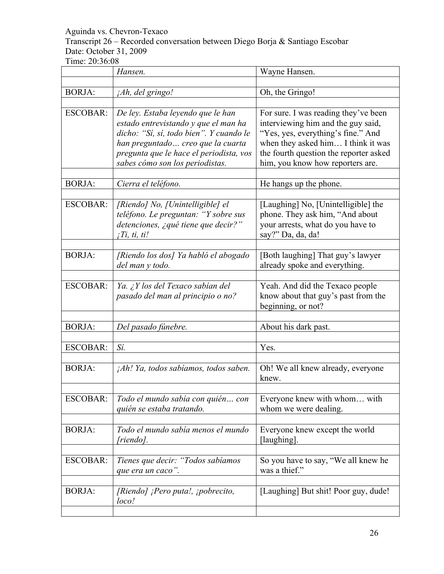Transcript 26 – Recorded conversation between Diego Borja & Santiago Escobar Date: October 31, 2009

|                 | Hansen.                                                                                                                                                                                                                                 | Wayne Hansen.                                                                                                                                                                                                                        |
|-----------------|-----------------------------------------------------------------------------------------------------------------------------------------------------------------------------------------------------------------------------------------|--------------------------------------------------------------------------------------------------------------------------------------------------------------------------------------------------------------------------------------|
|                 |                                                                                                                                                                                                                                         |                                                                                                                                                                                                                                      |
| <b>BORJA:</b>   | <i>Ah, del gringo!</i>                                                                                                                                                                                                                  | Oh, the Gringo!                                                                                                                                                                                                                      |
| <b>ESCOBAR:</b> | De ley. Estaba leyendo que le han<br>estado entrevistando y que el man ha<br>dicho: "Sí, sí, todo bien". Y cuando le<br>han preguntado creo que la cuarta<br>pregunta que le hace el periodista, vos<br>sabes cómo son los periodistas. | For sure. I was reading they've been<br>interviewing him and the guy said,<br>"Yes, yes, everything's fine." And<br>when they asked him I think it was<br>the fourth question the reporter asked<br>him, you know how reporters are. |
| <b>BORJA:</b>   | Cierra el teléfono.                                                                                                                                                                                                                     | He hangs up the phone.                                                                                                                                                                                                               |
|                 |                                                                                                                                                                                                                                         |                                                                                                                                                                                                                                      |
| <b>ESCOBAR:</b> | [Riendo] No, [Unintelligible] el<br>teléfono. Le preguntan: "Y sobre sus<br>detenciones, ¿qué tiene que decir?"<br>$i$ <i>Ti</i> , ti, ti!                                                                                              | [Laughing] No, [Unintelligible] the<br>phone. They ask him, "And about<br>your arrests, what do you have to<br>say?" Da, da, da!                                                                                                     |
| <b>BORJA:</b>   | [Riendo los dos] Ya habló el abogado<br>del man y todo.                                                                                                                                                                                 | [Both laughing] That guy's lawyer<br>already spoke and everything.                                                                                                                                                                   |
| <b>ESCOBAR:</b> | Ya. ¿Y los del Texaco sabían del<br>pasado del man al principio o no?                                                                                                                                                                   | Yeah. And did the Texaco people<br>know about that guy's past from the<br>beginning, or not?                                                                                                                                         |
|                 |                                                                                                                                                                                                                                         |                                                                                                                                                                                                                                      |
| <b>BORJA:</b>   | Del pasado fúnebre.                                                                                                                                                                                                                     | About his dark past.                                                                                                                                                                                                                 |
| <b>ESCOBAR:</b> | Sí.                                                                                                                                                                                                                                     | Yes.                                                                                                                                                                                                                                 |
| <b>BORJA:</b>   | ¡Ah! Ya, todos sabíamos, todos saben.                                                                                                                                                                                                   | Oh! We all knew already, everyone<br>knew.                                                                                                                                                                                           |
| <b>ESCOBAR:</b> | Todo el mundo sabía con quién con<br>quién se estaba tratando.                                                                                                                                                                          | Everyone knew with whom with<br>whom we were dealing.                                                                                                                                                                                |
| <b>BORJA:</b>   | Todo el mundo sabía menos el mundo<br>[riendo].                                                                                                                                                                                         | Everyone knew except the world<br>[laughing].                                                                                                                                                                                        |
| <b>ESCOBAR:</b> | Tienes que decir: "Todos sabíamos<br>que era un caco".                                                                                                                                                                                  | So you have to say, "We all knew he<br>was a thief."                                                                                                                                                                                 |
| <b>BORJA:</b>   | [Riendo] ¡Pero puta!, ¡pobrecito,<br>loco!                                                                                                                                                                                              | [Laughing] But shit! Poor guy, dude!                                                                                                                                                                                                 |
|                 |                                                                                                                                                                                                                                         |                                                                                                                                                                                                                                      |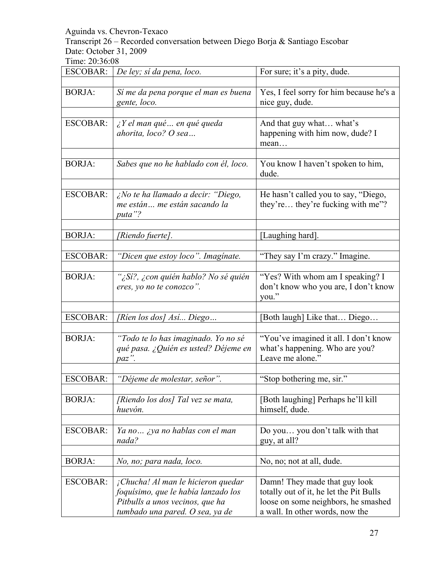Transcript 26 – Recorded conversation between Diego Borja & Santiago Escobar Date: October 31, 2009

| ESCOBAR:        | De ley; si da pena, loco.                                                                                                                       | For sure; it's a pity, dude.                                                                                                                       |
|-----------------|-------------------------------------------------------------------------------------------------------------------------------------------------|----------------------------------------------------------------------------------------------------------------------------------------------------|
| <b>BORJA:</b>   | Sí me da pena porque el man es buena<br>gente, loco.                                                                                            | Yes, I feel sorry for him because he's a<br>nice guy, dude.                                                                                        |
| <b>ESCOBAR:</b> | $i Y$ el man qué  en qué queda<br>ahorita, loco? O sea                                                                                          | And that guy what what's<br>happening with him now, dude? I<br>mean                                                                                |
| <b>BORJA:</b>   | Sabes que no he hablado con él, loco.                                                                                                           | You know I haven't spoken to him,<br>dude.                                                                                                         |
| <b>ESCOBAR:</b> | ¿No te ha llamado a decir: "Diego,<br>me están me están sacando la<br>puta"?                                                                    | He hasn't called you to say, "Diego,<br>they're they're fucking with me"?                                                                          |
| <b>BORJA:</b>   | [Riendo fuerte].                                                                                                                                | [Laughing hard].                                                                                                                                   |
| <b>ESCOBAR:</b> | "Dicen que estoy loco". Imagínate.                                                                                                              | "They say I'm crazy." Imagine.                                                                                                                     |
| <b>BORJA:</b>   | "¿Sí?, ¿con quién hablo? No sé quién<br>eres, yo no te conozco".                                                                                | "Yes? With whom am I speaking? I<br>don't know who you are, I don't know<br>you."                                                                  |
| <b>ESCOBAR:</b> | [Ríen los dos] Así Diego                                                                                                                        | [Both laugh] Like that Diego                                                                                                                       |
| <b>BORJA:</b>   | "Todo te lo has imaginado. Yo no sé<br>qué pasa. ¿Quién es usted? Déjeme en<br>paz".                                                            | "You've imagined it all. I don't know<br>what's happening. Who are you?<br>Leave me alone."                                                        |
| <b>ESCOBAR:</b> | "Déjeme de molestar, señor".                                                                                                                    | "Stop bothering me, sir."                                                                                                                          |
| <b>BORJA:</b>   | [Riendo los dos] Tal vez se mata,<br>huevón.                                                                                                    | [Both laughing] Perhaps he'll kill<br>himself, dude.                                                                                               |
| <b>ESCOBAR:</b> | Ya no ¿ya no hablas con el man<br>nada?                                                                                                         | Do you you don't talk with that<br>guy, at all?                                                                                                    |
| <b>BORJA:</b>   | No, no; para nada, loco.                                                                                                                        | No, no; not at all, dude.                                                                                                                          |
| <b>ESCOBAR:</b> | ¡Chucha! Al man le hicieron quedar<br>foquísimo, que le había lanzado los<br>Pitbulls a unos vecinos, que ha<br>tumbado una pared. O sea, ya de | Damn! They made that guy look<br>totally out of it, he let the Pit Bulls<br>loose on some neighbors, he smashed<br>a wall. In other words, now the |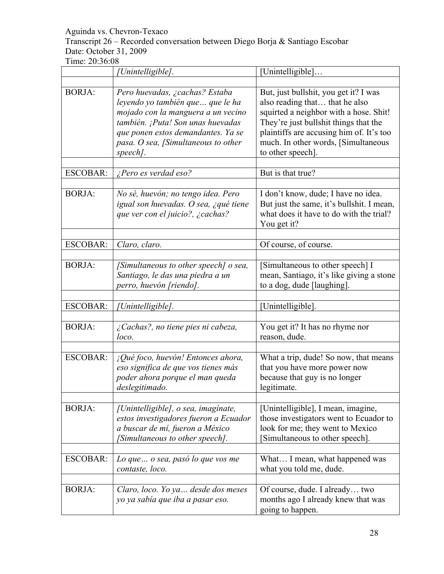Transcript 26 – Recorded conversation between Diego Borja & Santiago Escobar Date: October 31, 2009

|                 | [Unintelligible].                                                                                                                                                                                                                       | [Unintelligible]                                                                                                                                                                                                                                                   |
|-----------------|-----------------------------------------------------------------------------------------------------------------------------------------------------------------------------------------------------------------------------------------|--------------------------------------------------------------------------------------------------------------------------------------------------------------------------------------------------------------------------------------------------------------------|
|                 |                                                                                                                                                                                                                                         |                                                                                                                                                                                                                                                                    |
| <b>BORJA:</b>   | Pero huevadas, ¿cachas? Estaba<br>leyendo yo también que  que le ha<br>mojado con la manguera a un vecino<br>también. ¡Puta! Son unas huevadas<br>que ponen estos demandantes. Ya se<br>pasa. O sea, [Simultaneous to other<br>speech]. | But, just bullshit, you get it? I was<br>also reading that that he also<br>squirted a neighbor with a hose. Shit!<br>They're just bullshit things that the<br>plaintiffs are accusing him of. It's too<br>much. In other words, [Simultaneous<br>to other speech]. |
| <b>ESCOBAR:</b> | ¿Pero es verdad eso?                                                                                                                                                                                                                    | But is that true?                                                                                                                                                                                                                                                  |
|                 |                                                                                                                                                                                                                                         |                                                                                                                                                                                                                                                                    |
| <b>BORJA:</b>   | No sé, huevón; no tengo idea. Pero<br>igual son huevadas. O sea, ¿qué tiene<br>que ver con el juicio?, ¿cachas?                                                                                                                         | I don't know, dude; I have no idea.<br>But just the same, it's bullshit. I mean,<br>what does it have to do with the trial?<br>You get it?                                                                                                                         |
| <b>ESCOBAR:</b> | Claro, claro.                                                                                                                                                                                                                           | Of course, of course.                                                                                                                                                                                                                                              |
|                 |                                                                                                                                                                                                                                         |                                                                                                                                                                                                                                                                    |
| <b>BORJA:</b>   | [Simultaneous to other speech] o sea,<br>Santiago, le das una piedra a un<br>perro, huevón [riendo].                                                                                                                                    | [Simultaneous to other speech] I<br>mean, Santiago, it's like giving a stone<br>to a dog, dude [laughing].                                                                                                                                                         |
| <b>ESCOBAR:</b> | [Unintelligible].                                                                                                                                                                                                                       | [Unintelligible].                                                                                                                                                                                                                                                  |
|                 |                                                                                                                                                                                                                                         |                                                                                                                                                                                                                                                                    |
| <b>BORJA:</b>   | ¿Cachas?, no tiene pies ni cabeza,<br>loco.                                                                                                                                                                                             | You get it? It has no rhyme nor<br>reason, dude.                                                                                                                                                                                                                   |
| <b>ESCOBAR:</b> | ¡Qué foco, huevón! Entonces ahora,<br>eso significa de que vos tienes más<br>poder ahora porque el man queda<br>deslegitimado.                                                                                                          | What a trip, dude! So now, that means<br>that you have more power now<br>because that guy is no longer<br>legitimate.                                                                                                                                              |
| <b>BORJA:</b>   | [Unintelligible], o sea, imaginate,<br>estos investigadores fueron a Ecuador<br>a buscar de mí, fueron a México<br>[Simultaneous to other speech].                                                                                      | [Unintelligible], I mean, imagine,<br>those investigators went to Ecuador to<br>look for me; they went to Mexico<br>Simultaneous to other speech].                                                                                                                 |
| <b>ESCOBAR:</b> | Lo que  o sea, pasó lo que vos me<br>contaste, loco.                                                                                                                                                                                    | What I mean, what happened was<br>what you told me, dude.                                                                                                                                                                                                          |
| <b>BORJA:</b>   | Claro, loco. Yo ya desde dos meses<br>yo ya sabía que iba a pasar eso.                                                                                                                                                                  | Of course, dude. I already two<br>months ago I already knew that was<br>going to happen.                                                                                                                                                                           |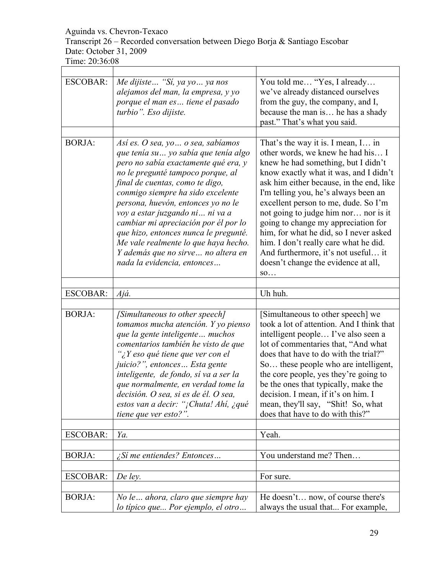# Transcript 26 – Recorded conversation between Diego Borja & Santiago Escobar Date: October 31, 2009

| <b>ESCOBAR:</b> | Me dijiste  "Si, ya yo  ya nos<br>alejamos del man, la empresa, y yo<br>porque el man es tiene el pasado<br>turbio". Eso dijiste.                                                                                                                                                                                                                                                                                                                                                                        | You told me "Yes, I already<br>we've already distanced ourselves<br>from the guy, the company, and I,<br>because the man is he has a shady<br>past." That's what you said.                                                                                                                                                                                                                                                                                                                                                                 |
|-----------------|----------------------------------------------------------------------------------------------------------------------------------------------------------------------------------------------------------------------------------------------------------------------------------------------------------------------------------------------------------------------------------------------------------------------------------------------------------------------------------------------------------|--------------------------------------------------------------------------------------------------------------------------------------------------------------------------------------------------------------------------------------------------------------------------------------------------------------------------------------------------------------------------------------------------------------------------------------------------------------------------------------------------------------------------------------------|
| <b>BORJA:</b>   |                                                                                                                                                                                                                                                                                                                                                                                                                                                                                                          |                                                                                                                                                                                                                                                                                                                                                                                                                                                                                                                                            |
|                 | Así es. O sea, yo  o sea, sabíamos<br>que tenía su  yo sabía que tenía algo<br>pero no sabía exactamente qué era, y<br>no le pregunté tampoco porque, al<br>final de cuentas, como te digo,<br>conmigo siempre ha sido excelente<br>persona, huevón, entonces yo no le<br>voy a estar juzgando ni  ni va a<br>cambiar mi apreciación por él por lo<br>que hizo, entonces nunca le pregunté.<br>Me vale realmente lo que haya hecho.<br>Y además que no sirve no altera en<br>nada la evidencia, entonces | That's the way it is. I mean, I in<br>other words, we knew he had his I<br>knew he had something, but I didn't<br>know exactly what it was, and I didn't<br>ask him either because, in the end, like<br>I'm telling you, he's always been an<br>excellent person to me, dude. So I'm<br>not going to judge him nor nor is it<br>going to change my appreciation for<br>him, for what he did, so I never asked<br>him. I don't really care what he did.<br>And furthermore, it's not useful it<br>doesn't change the evidence at all,<br>SO |
| <b>ESCOBAR:</b> | Ajá.                                                                                                                                                                                                                                                                                                                                                                                                                                                                                                     | Uh huh.                                                                                                                                                                                                                                                                                                                                                                                                                                                                                                                                    |
|                 |                                                                                                                                                                                                                                                                                                                                                                                                                                                                                                          |                                                                                                                                                                                                                                                                                                                                                                                                                                                                                                                                            |
| <b>BORJA:</b>   | [Simultaneous to other speech]<br>tomamos mucha atención. Y yo pienso<br>que la gente inteligente muchos<br>comentarios también he visto de que<br>"¿Y eso qué tiene que ver con el<br>juicio?", entonces Esta gente<br>inteligente, de fondo, sí va a ser la<br>que normalmente, en verdad tome la<br>decisión. O sea, si es de él. O sea,<br>estos van a decir: "¡Chuta! Ahí, ¿qué<br>tiene que ver esto?".                                                                                            | [Simultaneous to other speech] we<br>took a lot of attention. And I think that<br>intelligent people I've also seen a<br>lot of commentaries that, "And what<br>does that have to do with the trial?"<br>So these people who are intelligent,<br>the core people, yes they're going to<br>be the ones that typically, make the<br>decision. I mean, if it's on him. I<br>mean, they'll say, "Shit! So, what<br>does that have to do with this?"                                                                                            |
| <b>ESCOBAR:</b> | Ya.                                                                                                                                                                                                                                                                                                                                                                                                                                                                                                      | Yeah.                                                                                                                                                                                                                                                                                                                                                                                                                                                                                                                                      |
| <b>BORJA:</b>   | <i>iSi</i> me entiendes? Entonces                                                                                                                                                                                                                                                                                                                                                                                                                                                                        | You understand me? Then                                                                                                                                                                                                                                                                                                                                                                                                                                                                                                                    |
|                 |                                                                                                                                                                                                                                                                                                                                                                                                                                                                                                          |                                                                                                                                                                                                                                                                                                                                                                                                                                                                                                                                            |
| <b>ESCOBAR:</b> | De ley.                                                                                                                                                                                                                                                                                                                                                                                                                                                                                                  | For sure.                                                                                                                                                                                                                                                                                                                                                                                                                                                                                                                                  |
| <b>BORJA:</b>   | No le ahora, claro que siempre hay<br>lo típico que Por ejemplo, el otro                                                                                                                                                                                                                                                                                                                                                                                                                                 | He doesn't now, of course there's<br>always the usual that For example,                                                                                                                                                                                                                                                                                                                                                                                                                                                                    |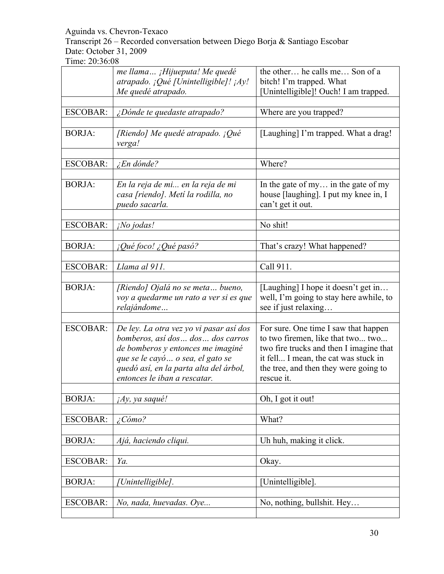Transcript 26 – Recorded conversation between Diego Borja & Santiago Escobar Date: October 31, 2009

|                 | me llama ¡Hijueputa! Me quedé<br>atrapado. ¡Qué [Unintelligible]! ¡Ay!<br>Me quedé atrapado.                                                                                                                                      | the other he calls me Son of a<br>bitch! I'm trapped. What<br>[Unintelligible]! Ouch! I am trapped.                                                                                                                 |
|-----------------|-----------------------------------------------------------------------------------------------------------------------------------------------------------------------------------------------------------------------------------|---------------------------------------------------------------------------------------------------------------------------------------------------------------------------------------------------------------------|
| <b>ESCOBAR:</b> | ¿Dónde te quedaste atrapado?                                                                                                                                                                                                      | Where are you trapped?                                                                                                                                                                                              |
| <b>BORJA:</b>   | [Riendo] Me quedé atrapado. ¡Qué<br>verga!                                                                                                                                                                                        | [Laughing] I'm trapped. What a drag!                                                                                                                                                                                |
| <b>ESCOBAR:</b> | $\angle$ En dónde?                                                                                                                                                                                                                | Where?                                                                                                                                                                                                              |
| <b>BORJA:</b>   | En la reja de mi en la reja de mi<br>casa [riendo]. Metí la rodilla, no<br>puedo sacarla.                                                                                                                                         | In the gate of my in the gate of my<br>house [laughing]. I put my knee in, I<br>can't get it out.                                                                                                                   |
| <b>ESCOBAR:</b> | ¡No jodas!                                                                                                                                                                                                                        | No shit!                                                                                                                                                                                                            |
| <b>BORJA:</b>   | ¡Qué foco! ¿Qué pasó?                                                                                                                                                                                                             | That's crazy! What happened?                                                                                                                                                                                        |
| <b>ESCOBAR:</b> | Llama al 911.                                                                                                                                                                                                                     | Call 911.                                                                                                                                                                                                           |
| <b>BORJA:</b>   | [Riendo] Ojalá no se meta bueno,<br>voy a quedarme un rato a ver si es que<br>relajándome                                                                                                                                         | [Laughing] I hope it doesn't get in<br>well, I'm going to stay here awhile, to<br>see if just relaxing                                                                                                              |
| <b>ESCOBAR:</b> | De ley. La otra vez yo vi pasar así dos<br>bomberos, así dos  dos  dos carros<br>de bomberos y entonces me imaginé<br>que se le cayó  o sea, el gato se<br>quedó así, en la parta alta del árbol,<br>entonces le iban a rescatar. | For sure. One time I saw that happen<br>to two firemen, like that two two<br>two fire trucks and then I imagine that<br>it fell I mean, the cat was stuck in<br>the tree, and then they were going to<br>rescue it. |
| <b>BORJA:</b>   | jAy, ya saqué!                                                                                                                                                                                                                    | Oh, I got it out!                                                                                                                                                                                                   |
| <b>ESCOBAR:</b> | $\angle$ Cómo?                                                                                                                                                                                                                    | What?                                                                                                                                                                                                               |
| <b>BORJA:</b>   | Ajá, haciendo cliqui.                                                                                                                                                                                                             | Uh huh, making it click.                                                                                                                                                                                            |
| <b>ESCOBAR:</b> | Ya.                                                                                                                                                                                                                               | Okay.                                                                                                                                                                                                               |
| <b>BORJA:</b>   | [Unintelligible].                                                                                                                                                                                                                 | [Unintelligible].                                                                                                                                                                                                   |
| <b>ESCOBAR:</b> | No, nada, huevadas. Oye                                                                                                                                                                                                           | No, nothing, bullshit. Hey                                                                                                                                                                                          |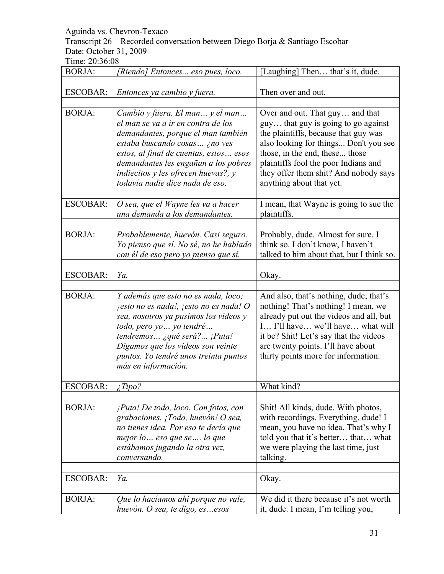Transcript 26 – Recorded conversation between Diego Borja & Santiago Escobar Date: October 31, 2009

| <b>BORJA:</b>   | [Riendo] Entonces eso pues, loco.                                                                                                                                                                                                                                                                        | [Laughing] Then that's it, dude.                                                                                                                                                                                                                                                                       |
|-----------------|----------------------------------------------------------------------------------------------------------------------------------------------------------------------------------------------------------------------------------------------------------------------------------------------------------|--------------------------------------------------------------------------------------------------------------------------------------------------------------------------------------------------------------------------------------------------------------------------------------------------------|
|                 |                                                                                                                                                                                                                                                                                                          |                                                                                                                                                                                                                                                                                                        |
| <b>ESCOBAR:</b> | Entonces ya cambio y fuera.                                                                                                                                                                                                                                                                              | Then over and out.                                                                                                                                                                                                                                                                                     |
| <b>BORJA:</b>   | Cambio y fuera. El man y el man<br>el man se va a ir en contra de los<br>demandantes, porque el man también<br>estaba buscando cosas ¿no ves<br>estos, al final de cuentas, estos esos<br>demandantes les engañan a los pobres<br>indiecitos y les ofrecen huevas?, y<br>todavía nadie dice nada de eso. | Over and out. That guy and that<br>guy that guy is going to go against<br>the plaintiffs, because that guy was<br>also looking for things Don't you see<br>those, in the end, these those<br>plaintiffs fool the poor Indians and<br>they offer them shit? And nobody says<br>anything about that yet. |
| <b>ESCOBAR:</b> | O sea, que el Wayne les va a hacer<br>una demanda a los demandantes.                                                                                                                                                                                                                                     | I mean, that Wayne is going to sue the<br>plaintiffs.                                                                                                                                                                                                                                                  |
| <b>BORJA:</b>   | Probablemente, huevón. Casi seguro.<br>Yo pienso que sí. No sé, no he hablado<br>con él de eso pero yo pienso que sí.                                                                                                                                                                                    | Probably, dude. Almost for sure. I<br>think so. I don't know, I haven't<br>talked to him about that, but I think so.                                                                                                                                                                                   |
| <b>ESCOBAR:</b> | Ya.                                                                                                                                                                                                                                                                                                      | Okay.                                                                                                                                                                                                                                                                                                  |
| <b>BORJA:</b>   | Y además que esto no es nada, loco;<br>jesto no es nada!, jesto no es nada! O<br>sea, nosotros ya pusimos los videos y<br>todo, pero yo  yo tendré<br>tendremos ¿qué será? ¡Puta!<br>Digamos que los videos son veinte<br>puntos. Yo tendré unos treinta puntos<br>más en información.                   | And also, that's nothing, dude; that's<br>nothing! That's nothing! I mean, we<br>already put out the videos and all, but<br>I I'll have we'll have what will<br>it be? Shit! Let's say that the videos<br>are twenty points. I'll have about<br>thirty points more for information.                    |
| <b>ESCOBAR:</b> | ¿Tipo?                                                                                                                                                                                                                                                                                                   | What kind?                                                                                                                                                                                                                                                                                             |
| <b>BORJA:</b>   | $i$ Puta! De todo, loco. Con fotos, con<br>grabaciones. ¡Todo, huevón! O sea,<br>no tienes idea. Por eso te decía que<br>mejor lo  eso que se  lo que<br>estábamos jugando la otra vez,<br>conversando.                                                                                                  | Shit! All kinds, dude. With photos,<br>with recordings. Everything, dude! I<br>mean, you have no idea. That's why I<br>told you that it's better that what<br>we were playing the last time, just<br>talking.                                                                                          |
| <b>ESCOBAR:</b> | Ya.                                                                                                                                                                                                                                                                                                      | Okay.                                                                                                                                                                                                                                                                                                  |
| <b>BORJA:</b>   | Que lo hacíamos ahí porque no vale,<br>huevón. O sea, te digo, esesos                                                                                                                                                                                                                                    | We did it there because it's not worth<br>it, dude. I mean, I'm telling you,                                                                                                                                                                                                                           |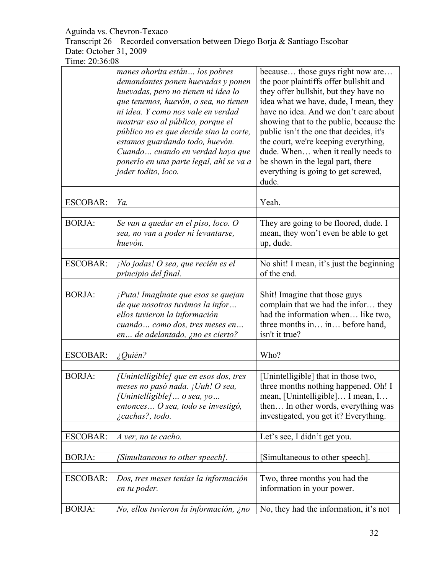Transcript 26 – Recorded conversation between Diego Borja & Santiago Escobar Date: October 31, 2009

|                 | manes ahorita están los pobres<br>demandantes ponen huevadas y ponen<br>huevadas, pero no tienen ni idea lo<br>que tenemos, huevón, o sea, no tienen<br>ni idea. Y como nos vale en verdad<br>mostrar eso al público, porque el<br>público no es que decide sino la corte,<br>estamos guardando todo, huevón.<br>Cuando cuando en verdad haya que<br>ponerlo en una parte legal, ahí se va a<br>joder todito, loco. | because those guys right now are<br>the poor plaintiffs offer bullshit and<br>they offer bullshit, but they have no<br>idea what we have, dude, I mean, they<br>have no idea. And we don't care about<br>showing that to the public, because the<br>public isn't the one that decides, it's<br>the court, we're keeping everything,<br>dude. When when it really needs to<br>be shown in the legal part, there<br>everything is going to get screwed,<br>dude. |
|-----------------|---------------------------------------------------------------------------------------------------------------------------------------------------------------------------------------------------------------------------------------------------------------------------------------------------------------------------------------------------------------------------------------------------------------------|----------------------------------------------------------------------------------------------------------------------------------------------------------------------------------------------------------------------------------------------------------------------------------------------------------------------------------------------------------------------------------------------------------------------------------------------------------------|
| <b>ESCOBAR:</b> | Ya.                                                                                                                                                                                                                                                                                                                                                                                                                 | Yeah.                                                                                                                                                                                                                                                                                                                                                                                                                                                          |
| <b>BORJA:</b>   | Se van a quedar en el piso, loco. O<br>sea, no van a poder ni levantarse,<br>huevón.                                                                                                                                                                                                                                                                                                                                | They are going to be floored, dude. I<br>mean, they won't even be able to get<br>up, dude.                                                                                                                                                                                                                                                                                                                                                                     |
| <b>ESCOBAR:</b> | ¡No jodas! O sea, que recién es el<br>principio del final.                                                                                                                                                                                                                                                                                                                                                          | No shit! I mean, it's just the beginning<br>of the end.                                                                                                                                                                                                                                                                                                                                                                                                        |
| <b>BORJA:</b>   | ¡Puta! Imaginate que esos se quejan<br>de que nosotros tuvimos la infor<br>ellos tuvieron la información<br>cuando como dos, tres meses en<br>en de adelantado, ¿no es cierto?                                                                                                                                                                                                                                      | Shit! Imagine that those guys<br>complain that we had the infor they<br>had the information when like two,<br>three months in in before hand,<br>isn't it true?                                                                                                                                                                                                                                                                                                |
| <b>ESCOBAR:</b> | $i$ Quién?                                                                                                                                                                                                                                                                                                                                                                                                          | Who?                                                                                                                                                                                                                                                                                                                                                                                                                                                           |
| <b>BORJA:</b>   | [Unintelligible] que en esos dos, tres<br>meses no pasó nada. ¡Uuh! O sea,<br>[Unintelligible]  o sea, yo<br>entonces  O sea, todo se investigó,<br><i>i</i> cachas?, todo.                                                                                                                                                                                                                                         | [Unintelligible] that in those two,<br>three months nothing happened. Oh! I<br>mean, [Unintelligible] I mean, I<br>then In other words, everything was<br>investigated, you get it? Everything.                                                                                                                                                                                                                                                                |
| <b>ESCOBAR:</b> | A ver, no te cacho.                                                                                                                                                                                                                                                                                                                                                                                                 | Let's see, I didn't get you.                                                                                                                                                                                                                                                                                                                                                                                                                                   |
| <b>BORJA:</b>   | [Simultaneous to other speech].                                                                                                                                                                                                                                                                                                                                                                                     | [Simultaneous to other speech].                                                                                                                                                                                                                                                                                                                                                                                                                                |
| <b>ESCOBAR:</b> | Dos, tres meses tenías la información<br>en tu poder.                                                                                                                                                                                                                                                                                                                                                               | Two, three months you had the<br>information in your power.                                                                                                                                                                                                                                                                                                                                                                                                    |
| <b>BORJA:</b>   | No, ellos tuvieron la información, ¿no                                                                                                                                                                                                                                                                                                                                                                              | No, they had the information, it's not                                                                                                                                                                                                                                                                                                                                                                                                                         |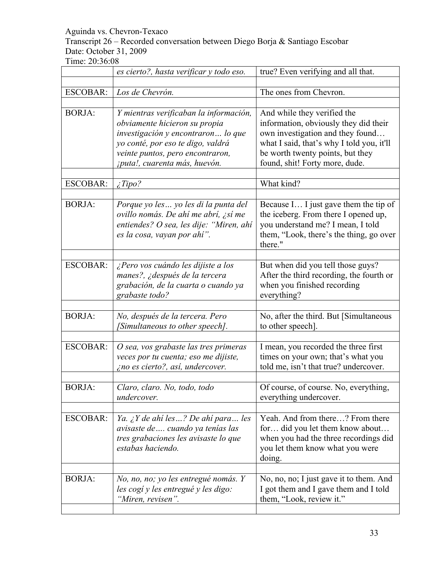Transcript 26 – Recorded conversation between Diego Borja & Santiago Escobar Date: October 31, 2009

|                 | es cierto?, hasta verificar y todo eso.                                                                                                                                                                                 | true? Even verifying and all that.                                                                                                                                                                                          |
|-----------------|-------------------------------------------------------------------------------------------------------------------------------------------------------------------------------------------------------------------------|-----------------------------------------------------------------------------------------------------------------------------------------------------------------------------------------------------------------------------|
| <b>ESCOBAR:</b> | Los de Chevrón.                                                                                                                                                                                                         | The ones from Chevron.                                                                                                                                                                                                      |
| <b>BORJA:</b>   | Y mientras verificaban la información,<br>obviamente hicieron su propia<br>investigación y encontraron lo que<br>yo conté, por eso te digo, valdrá<br>veinte puntos, pero encontraron,<br>¡puta!, cuarenta más, huevón. | And while they verified the<br>information, obviously they did their<br>own investigation and they found<br>what I said, that's why I told you, it'll<br>be worth twenty points, but they<br>found, shit! Forty more, dude. |
| <b>ESCOBAR:</b> | $\angle$ <i>Tipo?</i>                                                                                                                                                                                                   | What kind?                                                                                                                                                                                                                  |
| <b>BORJA:</b>   | Porque yo les  yo les di la punta del<br>ovillo nomás. De ahí me abrí, ¿sí me<br>entiendes? O sea, les dije: "Miren, ahí<br>es la cosa, vayan por ahí".                                                                 | Because I I just gave them the tip of<br>the iceberg. From there I opened up,<br>you understand me? I mean, I told<br>them, "Look, there's the thing, go over<br>there."                                                    |
| <b>ESCOBAR:</b> | ¿Pero vos cuándo les dijiste a los<br>manes?, ¿después de la tercera<br>grabación, de la cuarta o cuando ya<br>grabaste todo?                                                                                           | But when did you tell those guys?<br>After the third recording, the fourth or<br>when you finished recording<br>everything?                                                                                                 |
| <b>BORJA:</b>   | No, después de la tercera. Pero<br>[Simultaneous to other speech].                                                                                                                                                      | No, after the third. But [Simultaneous]<br>to other speech].                                                                                                                                                                |
| <b>ESCOBAR:</b> | O sea, vos grabaste las tres primeras<br>veces por tu cuenta; eso me dijiste,<br>¿no es cierto?, así, undercover.                                                                                                       | I mean, you recorded the three first<br>times on your own; that's what you<br>told me, isn't that true? undercover.                                                                                                         |
| <b>BORJA:</b>   | Claro, claro. No, todo, todo<br>undercover.                                                                                                                                                                             | Of course, of course. No, everything.<br>everything undercover.                                                                                                                                                             |
| <b>ESCOBAR:</b> | Ya. ¿Y de ahí les? De ahí para les<br>avisaste de  cuando ya tenías las<br>tres grabaciones les avisaste lo que<br>estabas haciendo.                                                                                    | Yeah. And from there? From there<br>for did you let them know about<br>when you had the three recordings did<br>you let them know what you were<br>doing.                                                                   |
| <b>BORJA:</b>   | No, no, no; yo les entregué nomás. Y<br>les cogí y les entregué y les digo:<br>"Miren, revisen".                                                                                                                        | No, no, no; I just gave it to them. And<br>I got them and I gave them and I told<br>them, "Look, review it."                                                                                                                |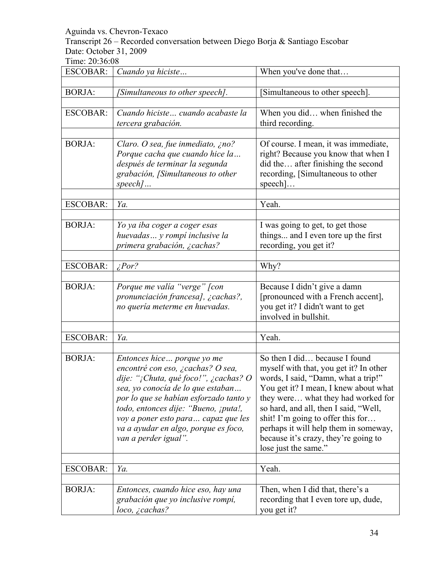Transcript 26 – Recorded conversation between Diego Borja & Santiago Escobar Date: October 31, 2009

| <b>ESCOBAR:</b> | Cuando ya hiciste                                                                                                                                                                                                                                                                                                                      | When you've done that                                                                                                                                                                                                                                                                                                                                                                |
|-----------------|----------------------------------------------------------------------------------------------------------------------------------------------------------------------------------------------------------------------------------------------------------------------------------------------------------------------------------------|--------------------------------------------------------------------------------------------------------------------------------------------------------------------------------------------------------------------------------------------------------------------------------------------------------------------------------------------------------------------------------------|
| <b>BORJA:</b>   | [Simultaneous to other speech].                                                                                                                                                                                                                                                                                                        | [Simultaneous to other speech].                                                                                                                                                                                                                                                                                                                                                      |
| <b>ESCOBAR:</b> | Cuando hiciste cuando acabaste la<br>tercera grabación.                                                                                                                                                                                                                                                                                | When you did when finished the<br>third recording.                                                                                                                                                                                                                                                                                                                                   |
| <b>BORJA:</b>   | Claro. O sea, fue inmediato, ¿no?<br>Porque cacha que cuando hice la<br>después de terminar la segunda<br>grabación, [Simultaneous to other<br>speech]                                                                                                                                                                                 | Of course. I mean, it was immediate,<br>right? Because you know that when I<br>did the after finishing the second<br>recording, [Simultaneous to other<br>$\text{speed}$ ]                                                                                                                                                                                                           |
| <b>ESCOBAR:</b> | Ya.                                                                                                                                                                                                                                                                                                                                    | Yeah.                                                                                                                                                                                                                                                                                                                                                                                |
|                 |                                                                                                                                                                                                                                                                                                                                        |                                                                                                                                                                                                                                                                                                                                                                                      |
| <b>BORJA:</b>   | Yo ya iba coger a coger esas<br>huevadas y rompí inclusive la<br>primera grabación, ¿cachas?                                                                                                                                                                                                                                           | I was going to get, to get those<br>things and I even tore up the first<br>recording, you get it?                                                                                                                                                                                                                                                                                    |
| <b>ESCOBAR:</b> | $\zeta$ Por?                                                                                                                                                                                                                                                                                                                           | Why?                                                                                                                                                                                                                                                                                                                                                                                 |
|                 |                                                                                                                                                                                                                                                                                                                                        |                                                                                                                                                                                                                                                                                                                                                                                      |
| <b>BORJA:</b>   | Porque me valía "verge" [con<br>pronunciación francesa], ¿cachas?,<br>no quería meterme en huevadas.                                                                                                                                                                                                                                   | Because I didn't give a damn<br>[pronounced with a French accent],<br>you get it? I didn't want to get<br>involved in bullshit.                                                                                                                                                                                                                                                      |
|                 |                                                                                                                                                                                                                                                                                                                                        |                                                                                                                                                                                                                                                                                                                                                                                      |
| <b>ESCOBAR:</b> | Ya.                                                                                                                                                                                                                                                                                                                                    | Yeah.                                                                                                                                                                                                                                                                                                                                                                                |
| <b>BORJA:</b>   | Entonces hice porque yo me<br>encontré con eso, ¿cachas? O sea,<br>dije: "¡Chuta, qué foco!", ¿cachas? O<br>sea, yo conocía de lo que estaban<br>por lo que se habían esforzado tanto y<br>todo, entonces dije: "Bueno, ¡puta!,<br>voy a poner esto para capaz que les<br>va a ayudar en algo, porque es foco,<br>van a perder igual". | So then I did because I found<br>myself with that, you get it? In other<br>words, I said, "Damn, what a trip!"<br>You get it? I mean, I knew about what<br>they were what they had worked for<br>so hard, and all, then I said, "Well,<br>shit! I'm going to offer this for<br>perhaps it will help them in someway,<br>because it's crazy, they're going to<br>lose just the same." |
| <b>ESCOBAR:</b> | Ya.                                                                                                                                                                                                                                                                                                                                    | Yeah.                                                                                                                                                                                                                                                                                                                                                                                |
|                 |                                                                                                                                                                                                                                                                                                                                        |                                                                                                                                                                                                                                                                                                                                                                                      |
| <b>BORJA:</b>   | Entonces, cuando hice eso, hay una<br>grabación que yo inclusive rompí,<br>$loco, \, \zeta$ cachas?                                                                                                                                                                                                                                    | Then, when I did that, there's a<br>recording that I even tore up, dude,<br>you get it?                                                                                                                                                                                                                                                                                              |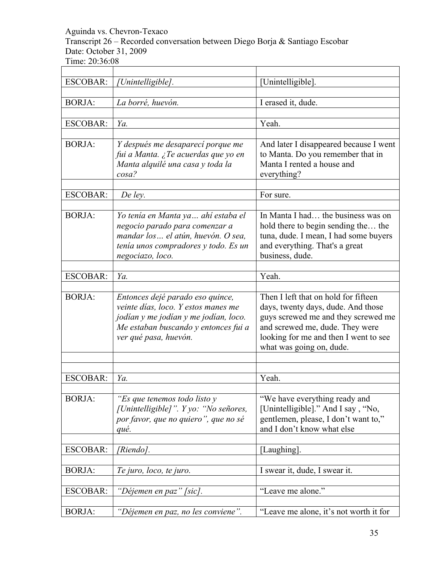Transcript 26 – Recorded conversation between Diego Borja & Santiago Escobar Date: October 31, 2009

| <b>ESCOBAR:</b> | [Unintelligible].                                                                                                                                                                 | [Unintelligible].                                                                                                                                                                                                         |
|-----------------|-----------------------------------------------------------------------------------------------------------------------------------------------------------------------------------|---------------------------------------------------------------------------------------------------------------------------------------------------------------------------------------------------------------------------|
|                 |                                                                                                                                                                                   |                                                                                                                                                                                                                           |
| <b>BORJA:</b>   | La borré, huevón.                                                                                                                                                                 | I erased it, dude.                                                                                                                                                                                                        |
|                 |                                                                                                                                                                                   |                                                                                                                                                                                                                           |
| <b>ESCOBAR:</b> | Ya.                                                                                                                                                                               | Yeah.                                                                                                                                                                                                                     |
| <b>BORJA:</b>   | Y después me desaparecí porque me<br>fui a Manta. ¿Te acuerdas que yo en<br>Manta alquilé una casa y toda la<br>$cos\alpha$ ?                                                     | And later I disappeared because I went<br>to Manta. Do you remember that in<br>Manta I rented a house and<br>everything?                                                                                                  |
| <b>ESCOBAR:</b> | De ley.                                                                                                                                                                           | For sure.                                                                                                                                                                                                                 |
|                 |                                                                                                                                                                                   |                                                                                                                                                                                                                           |
| <b>BORJA:</b>   | Yo tenía en Manta ya  ahí estaba el<br>negocio parado para comenzar a<br>mandar los  el atún, huevón. O sea,<br>tenía unos compradores y todo. Es un<br>negociazo, loco.          | In Manta I had the business was on<br>hold there to begin sending the the<br>tuna, dude. I mean, I had some buyers<br>and everything. That's a great<br>business, dude.                                                   |
|                 |                                                                                                                                                                                   |                                                                                                                                                                                                                           |
| <b>ESCOBAR:</b> | Ya.                                                                                                                                                                               | Yeah.                                                                                                                                                                                                                     |
| <b>BORJA:</b>   | Entonces dejé parado eso quince,<br>veinte días, loco. Y estos manes me<br>jodían y me jodían y me jodían, loco.<br>Me estaban buscando y entonces fui a<br>ver qué pasa, huevón. | Then I left that on hold for fifteen<br>days, twenty days, dude. And those<br>guys screwed me and they screwed me<br>and screwed me, dude. They were<br>looking for me and then I went to see<br>what was going on, dude. |
|                 |                                                                                                                                                                                   |                                                                                                                                                                                                                           |
|                 |                                                                                                                                                                                   |                                                                                                                                                                                                                           |
| <b>ESCOBAR:</b> | Ya.                                                                                                                                                                               | Yeah.                                                                                                                                                                                                                     |
| <b>BORJA:</b>   | "Es que tenemos todo listo y<br>[Unintelligible]". Y yo: "No señores,<br>por favor, que no quiero", que no sé<br>qué.                                                             | "We have everything ready and<br>[Unintelligible]." And I say, "No,<br>gentlemen, please, I don't want to,"<br>and I don't know what else                                                                                 |
| <b>ESCOBAR:</b> | [Riendo].                                                                                                                                                                         | [Laughing].                                                                                                                                                                                                               |
|                 |                                                                                                                                                                                   |                                                                                                                                                                                                                           |
| <b>BORJA:</b>   | Te juro, loco, te juro.                                                                                                                                                           | I swear it, dude, I swear it.                                                                                                                                                                                             |
|                 |                                                                                                                                                                                   |                                                                                                                                                                                                                           |
| <b>ESCOBAR:</b> | "Déjemen en paz" [sic].                                                                                                                                                           | "Leave me alone."                                                                                                                                                                                                         |
| <b>BORJA:</b>   | "Déjemen en paz, no les conviene".                                                                                                                                                | "Leave me alone, it's not worth it for                                                                                                                                                                                    |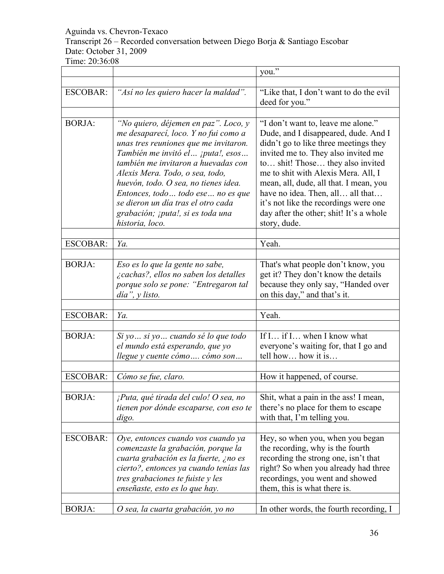# Aguinda vs. Chevron-Texaco Transcript 26 – Recorded conversation between Diego Borja & Santiago Escobar Date: October 31, 2009

| Time: 20:36:08 |  |
|----------------|--|
|----------------|--|

|                 |                                                                                                                                                                                                                                                                                                                                                                                                                  | you."                                                                                                                                                                                                                                                                                                                                                                                                                   |
|-----------------|------------------------------------------------------------------------------------------------------------------------------------------------------------------------------------------------------------------------------------------------------------------------------------------------------------------------------------------------------------------------------------------------------------------|-------------------------------------------------------------------------------------------------------------------------------------------------------------------------------------------------------------------------------------------------------------------------------------------------------------------------------------------------------------------------------------------------------------------------|
|                 |                                                                                                                                                                                                                                                                                                                                                                                                                  |                                                                                                                                                                                                                                                                                                                                                                                                                         |
| <b>ESCOBAR:</b> | "Así no les quiero hacer la maldad".                                                                                                                                                                                                                                                                                                                                                                             | "Like that, I don't want to do the evil<br>deed for you."                                                                                                                                                                                                                                                                                                                                                               |
|                 |                                                                                                                                                                                                                                                                                                                                                                                                                  |                                                                                                                                                                                                                                                                                                                                                                                                                         |
| <b>BORJA:</b>   | "No quiero, déjemen en paz". Loco, y<br>me desaparecí, loco. Y no fui como a<br>unas tres reuniones que me invitaron.<br>También me invitó el  ¡puta!, esos<br>también me invitaron a huevadas con<br>Alexis Mera. Todo, o sea, todo,<br>huevón, todo. O sea, no tienes idea.<br>Entonces, todo todo ese no es que<br>se dieron un día tras el otro cada<br>grabación; ¡puta!, si es toda una<br>historia, loco. | "I don't want to, leave me alone."<br>Dude, and I disappeared, dude. And I<br>didn't go to like three meetings they<br>invited me to. They also invited me<br>to shit! Those they also invited<br>me to shit with Alexis Mera. All, I<br>mean, all, dude, all that. I mean, you<br>have no idea. Then, all all that<br>it's not like the recordings were one<br>day after the other; shit! It's a whole<br>story, dude. |
|                 |                                                                                                                                                                                                                                                                                                                                                                                                                  |                                                                                                                                                                                                                                                                                                                                                                                                                         |
| <b>ESCOBAR:</b> | Ya.                                                                                                                                                                                                                                                                                                                                                                                                              | Yeah.                                                                                                                                                                                                                                                                                                                                                                                                                   |
| <b>BORJA:</b>   | Eso es lo que la gente no sabe,<br><i>i</i> cachas?, ellos no saben los detalles<br>porque solo se pone: "Entregaron tal<br>$dia$ ", $y$ listo.                                                                                                                                                                                                                                                                  | That's what people don't know, you<br>get it? They don't know the details<br>because they only say, "Handed over<br>on this day," and that's it.                                                                                                                                                                                                                                                                        |
| <b>ESCOBAR:</b> | Ya.                                                                                                                                                                                                                                                                                                                                                                                                              | Yeah.                                                                                                                                                                                                                                                                                                                                                                                                                   |
|                 |                                                                                                                                                                                                                                                                                                                                                                                                                  |                                                                                                                                                                                                                                                                                                                                                                                                                         |
| <b>BORJA:</b>   | Si yo  si yo  cuando sé lo que todo<br>el mundo está esperando, que yo<br>llegue y cuente cómo  cómo son                                                                                                                                                                                                                                                                                                         | If I if I when I know what<br>everyone's waiting for, that I go and<br>tell how how it is                                                                                                                                                                                                                                                                                                                               |
| <b>ESCOBAR:</b> | Cómo se fue, claro.                                                                                                                                                                                                                                                                                                                                                                                              | How it happened, of course.                                                                                                                                                                                                                                                                                                                                                                                             |
|                 |                                                                                                                                                                                                                                                                                                                                                                                                                  |                                                                                                                                                                                                                                                                                                                                                                                                                         |
| <b>BORJA:</b>   | ¡Puta, qué tirada del culo! O sea, no<br>tienen por dónde escaparse, con eso te<br>digo.                                                                                                                                                                                                                                                                                                                         | Shit, what a pain in the ass! I mean,<br>there's no place for them to escape<br>with that, I'm telling you.                                                                                                                                                                                                                                                                                                             |
|                 |                                                                                                                                                                                                                                                                                                                                                                                                                  |                                                                                                                                                                                                                                                                                                                                                                                                                         |
| <b>ESCOBAR:</b> | Oye, entonces cuando vos cuando ya<br>comenzaste la grabación, porque la<br>cuarta grabación es la fuerte, ¿no es<br>cierto?, entonces ya cuando tenías las<br>tres grabaciones te fuiste y les<br>enseñaste, esto es lo que hay.                                                                                                                                                                                | Hey, so when you, when you began<br>the recording, why is the fourth<br>recording the strong one, isn't that<br>right? So when you already had three<br>recordings, you went and showed<br>them, this is what there is.                                                                                                                                                                                                 |
| <b>BORJA:</b>   | O sea, la cuarta grabación, yo no                                                                                                                                                                                                                                                                                                                                                                                | In other words, the fourth recording, I                                                                                                                                                                                                                                                                                                                                                                                 |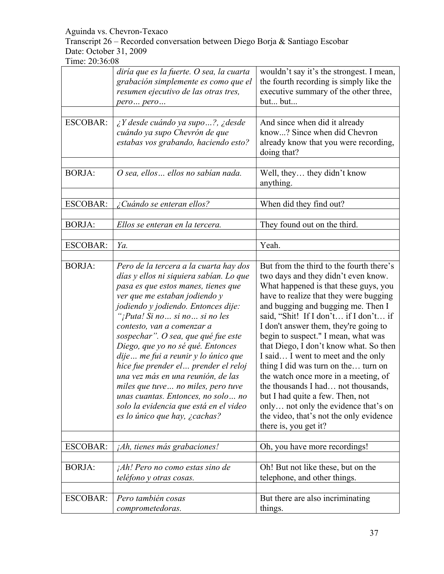Transcript 26 – Recorded conversation between Diego Borja & Santiago Escobar Date: October 31, 2009

|                 | diría que es la fuerte. O sea, la cuarta<br>grabación simplemente es como que el<br>resumen ejecutivo de las otras tres,<br>pero pero                                                                                                                                                                                                                                                                                                                                                                                                                                                                                      | wouldn't say it's the strongest. I mean,<br>the fourth recording is simply like the<br>executive summary of the other three,<br>but but                                                                                                                                                                                                                                                                                                                                                                                                                                                                                                                                                |
|-----------------|----------------------------------------------------------------------------------------------------------------------------------------------------------------------------------------------------------------------------------------------------------------------------------------------------------------------------------------------------------------------------------------------------------------------------------------------------------------------------------------------------------------------------------------------------------------------------------------------------------------------------|----------------------------------------------------------------------------------------------------------------------------------------------------------------------------------------------------------------------------------------------------------------------------------------------------------------------------------------------------------------------------------------------------------------------------------------------------------------------------------------------------------------------------------------------------------------------------------------------------------------------------------------------------------------------------------------|
|                 |                                                                                                                                                                                                                                                                                                                                                                                                                                                                                                                                                                                                                            |                                                                                                                                                                                                                                                                                                                                                                                                                                                                                                                                                                                                                                                                                        |
| <b>ESCOBAR:</b> | $\lambda$ Y desde cuándo ya supo?, $\lambda$ desde<br>cuándo ya supo Chevrón de que<br>estabas vos grabando, haciendo esto?                                                                                                                                                                                                                                                                                                                                                                                                                                                                                                | And since when did it already<br>know? Since when did Chevron<br>already know that you were recording,<br>doing that?                                                                                                                                                                                                                                                                                                                                                                                                                                                                                                                                                                  |
|                 |                                                                                                                                                                                                                                                                                                                                                                                                                                                                                                                                                                                                                            |                                                                                                                                                                                                                                                                                                                                                                                                                                                                                                                                                                                                                                                                                        |
| <b>BORJA:</b>   | O sea, ellos  ellos no sabían nada.                                                                                                                                                                                                                                                                                                                                                                                                                                                                                                                                                                                        | Well, they they didn't know<br>anything.                                                                                                                                                                                                                                                                                                                                                                                                                                                                                                                                                                                                                                               |
|                 |                                                                                                                                                                                                                                                                                                                                                                                                                                                                                                                                                                                                                            |                                                                                                                                                                                                                                                                                                                                                                                                                                                                                                                                                                                                                                                                                        |
| <b>ESCOBAR:</b> | ¿Cuándo se enteran ellos?                                                                                                                                                                                                                                                                                                                                                                                                                                                                                                                                                                                                  | When did they find out?                                                                                                                                                                                                                                                                                                                                                                                                                                                                                                                                                                                                                                                                |
|                 |                                                                                                                                                                                                                                                                                                                                                                                                                                                                                                                                                                                                                            |                                                                                                                                                                                                                                                                                                                                                                                                                                                                                                                                                                                                                                                                                        |
| <b>BORJA:</b>   | Ellos se enteran en la tercera.                                                                                                                                                                                                                                                                                                                                                                                                                                                                                                                                                                                            | They found out on the third.                                                                                                                                                                                                                                                                                                                                                                                                                                                                                                                                                                                                                                                           |
|                 |                                                                                                                                                                                                                                                                                                                                                                                                                                                                                                                                                                                                                            |                                                                                                                                                                                                                                                                                                                                                                                                                                                                                                                                                                                                                                                                                        |
| <b>ESCOBAR:</b> | Ya.                                                                                                                                                                                                                                                                                                                                                                                                                                                                                                                                                                                                                        | Yeah.                                                                                                                                                                                                                                                                                                                                                                                                                                                                                                                                                                                                                                                                                  |
|                 |                                                                                                                                                                                                                                                                                                                                                                                                                                                                                                                                                                                                                            |                                                                                                                                                                                                                                                                                                                                                                                                                                                                                                                                                                                                                                                                                        |
| <b>BORJA:</b>   | Pero de la tercera a la cuarta hay dos<br>días y ellos ni siquiera sabían. Lo que<br>pasa es que estos manes, tienes que<br>ver que me estaban jodiendo y<br>jodiendo y jodiendo. Entonces dije:<br>"¡Puta! Si no si no si no les<br>contesto, van a comenzar a<br>sospechar". O sea, que qué fue este<br>Diego, que yo no sé qué. Entonces<br>dije  me fui a reunir y lo único que<br>hice fue prender el  prender el reloj<br>una vez más en una reunión, de las<br>miles que tuve no miles, pero tuve<br>unas cuantas. Entonces, no solo  no<br>solo la evidencia que está en el video<br>es lo único que hay, ¿cachas? | But from the third to the fourth there's<br>two days and they didn't even know.<br>What happened is that these guys, you<br>have to realize that they were bugging<br>and bugging and bugging me. Then I<br>said, "Shit! If I don't if I don't if<br>I don't answer them, they're going to<br>begin to suspect." I mean, what was<br>that Diego, I don't know what. So then<br>I said I went to meet and the only<br>thing I did was turn on the turn on<br>the watch once more in a meeting, of<br>the thousands I had not thousands,<br>but I had quite a few. Then, not<br>only not only the evidence that's on<br>the video, that's not the only evidence<br>there is, you get it? |
| <b>ESCOBAR:</b> | ¡Ah, tienes más grabaciones!                                                                                                                                                                                                                                                                                                                                                                                                                                                                                                                                                                                               | Oh, you have more recordings!                                                                                                                                                                                                                                                                                                                                                                                                                                                                                                                                                                                                                                                          |
|                 |                                                                                                                                                                                                                                                                                                                                                                                                                                                                                                                                                                                                                            |                                                                                                                                                                                                                                                                                                                                                                                                                                                                                                                                                                                                                                                                                        |
| <b>BORJA:</b>   | ¡Ah! Pero no como estas sino de<br>teléfono y otras cosas.                                                                                                                                                                                                                                                                                                                                                                                                                                                                                                                                                                 | Oh! But not like these, but on the<br>telephone, and other things.                                                                                                                                                                                                                                                                                                                                                                                                                                                                                                                                                                                                                     |
|                 |                                                                                                                                                                                                                                                                                                                                                                                                                                                                                                                                                                                                                            |                                                                                                                                                                                                                                                                                                                                                                                                                                                                                                                                                                                                                                                                                        |
| <b>ESCOBAR:</b> | Pero también cosas<br>comprometedoras.                                                                                                                                                                                                                                                                                                                                                                                                                                                                                                                                                                                     | But there are also incriminating<br>things.                                                                                                                                                                                                                                                                                                                                                                                                                                                                                                                                                                                                                                            |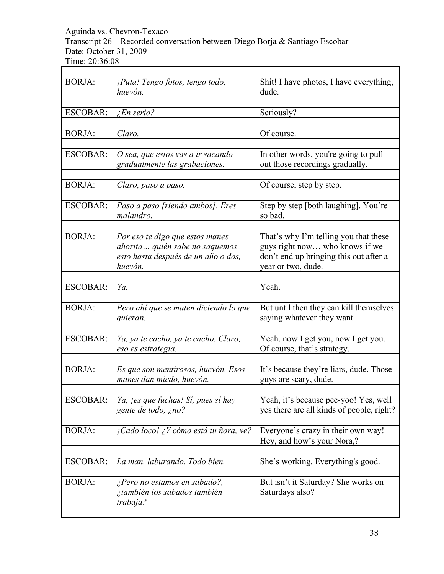Transcript 26 – Recorded conversation between Diego Borja & Santiago Escobar Date: October 31, 2009

| <b>BORJA:</b>   | ¡Puta! Tengo fotos, tengo todo,<br>huevón. | Shit! I have photos, I have everything,<br>dude. |
|-----------------|--------------------------------------------|--------------------------------------------------|
|                 |                                            |                                                  |
| <b>ESCOBAR:</b> | <i>En serio?</i>                           | Seriously?                                       |
|                 |                                            |                                                  |
| <b>BORJA:</b>   | Claro.                                     | Of course.                                       |
|                 |                                            |                                                  |
| <b>ESCOBAR:</b> | O sea, que estos vas a ir sacando          | In other words, you're going to pull             |
|                 | gradualmente las grabaciones.              | out those recordings gradually.                  |
|                 |                                            |                                                  |
| <b>BORJA:</b>   | Claro, paso a paso.                        | Of course, step by step.                         |
|                 |                                            |                                                  |
| <b>ESCOBAR:</b> | Paso a paso [riendo ambos]. Eres           | Step by step [both laughing]. You're             |
|                 | malandro.                                  | so bad.                                          |
|                 |                                            |                                                  |
| <b>BORJA:</b>   |                                            |                                                  |
|                 | Por eso te digo que estos manes            | That's why I'm telling you that these            |
|                 | ahorita quién sabe no saquemos             | guys right now who knows if we                   |
|                 | esto hasta después de un año o dos,        | don't end up bringing this out after a           |
|                 | huevón.                                    | year or two, dude.                               |
|                 |                                            |                                                  |
| <b>ESCOBAR:</b> | Ya.                                        | Yeah.                                            |
|                 |                                            |                                                  |
| <b>BORJA:</b>   | Pero ahí que se maten diciendo lo que      | But until then they can kill themselves          |
|                 | quieran.                                   | saying whatever they want.                       |
|                 |                                            |                                                  |
| <b>ESCOBAR:</b> | Ya, ya te cacho, ya te cacho. Claro,       | Yeah, now I get you, now I get you.              |
|                 | eso es estrategia.                         | Of course, that's strategy.                      |
|                 |                                            |                                                  |
| <b>BORJA:</b>   | Es que son mentirosos, huevón. Esos        | It's because they're liars, dude. Those          |
|                 | manes dan miedo, huevón.                   | guys are scary, dude.                            |
|                 |                                            |                                                  |
| <b>ESCOBAR:</b> | Ya, jes que fuchas! Sí, pues sí hay        | Yeah, it's because pee-yoo! Yes, well            |
|                 | gente de todo, ¿no?                        | yes there are all kinds of people, right?        |
|                 |                                            |                                                  |
| <b>BORJA:</b>   | ¡Cado loco! ¿Y cómo está tu ñora, ve?      | Everyone's crazy in their own way!               |
|                 |                                            | Hey, and how's your Nora,?                       |
|                 |                                            |                                                  |
| <b>ESCOBAR:</b> | La man, laburando. Todo bien.              | She's working. Everything's good.                |
|                 |                                            |                                                  |
|                 |                                            |                                                  |
| <b>BORJA:</b>   |                                            |                                                  |
|                 | ¿Pero no estamos en sábado?,               | But isn't it Saturday? She works on              |
|                 | ¿también los sábados también<br>trabaja?   | Saturdays also?                                  |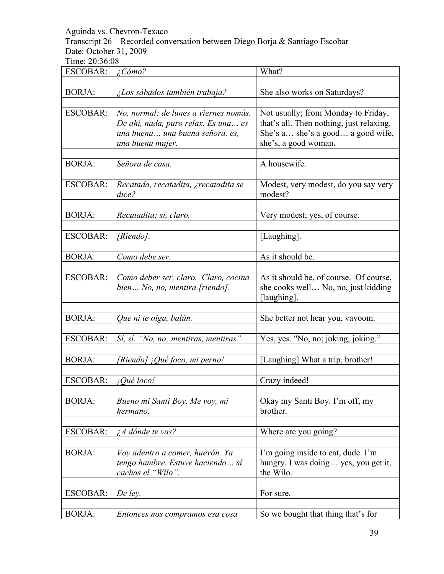Transcript 26 – Recorded conversation between Diego Borja & Santiago Escobar Date: October 31, 2009

| <b>ESCOBAR:</b> | $\angle$ Cómo?                        | What?                                    |
|-----------------|---------------------------------------|------------------------------------------|
|                 |                                       |                                          |
| <b>BORJA:</b>   | ¿Los sábados también trabaja?         | She also works on Saturdays?             |
|                 |                                       |                                          |
| <b>ESCOBAR:</b> | No, normal; de lunes a viernes nomás. | Not usually; from Monday to Friday,      |
|                 | De ahí, nada, puro relax. Es una es   | that's all. Then nothing, just relaxing. |
|                 | una buena una buena señora, es,       | She's a she's a good a good wife,        |
|                 | una buena mujer.                      | she's, a good woman.                     |
|                 |                                       |                                          |
| <b>BORJA:</b>   | Señora de casa.                       | A housewife.                             |
|                 |                                       |                                          |
| <b>ESCOBAR:</b> | Recatada, recatadita, ¿recatadita se  | Modest, very modest, do you say very     |
|                 | dice?                                 | modest?                                  |
|                 |                                       |                                          |
| <b>BORJA:</b>   | Recatadita; sí, claro.                | Very modest; yes, of course.             |
|                 |                                       |                                          |
| <b>ESCOBAR:</b> | [Riendo].                             | [Laughing].                              |
|                 |                                       |                                          |
| <b>BORJA:</b>   | Como debe ser.                        | As it should be.                         |
|                 |                                       |                                          |
| <b>ESCOBAR:</b> | Como deber ser, claro. Claro, cocina  | As it should be, of course. Of course,   |
|                 | bien No, no, mentira [riendo].        | she cooks well No, no, just kidding      |
|                 |                                       | [laughing].                              |
|                 |                                       |                                          |
| <b>BORJA:</b>   | Que ni te oiga, balún.                | She better not hear you, vavoom.         |
|                 |                                       |                                          |
| <b>ESCOBAR:</b> | Sí, sí. "No, no; mentiras, mentiras". | Yes, yes. "No, no; joking, joking."      |
|                 |                                       |                                          |
| <b>BORJA:</b>   | [Riendo] ¡Qué foco, mi perno!         | [Laughing] What a trip, brother!         |
|                 |                                       |                                          |
| <b>ESCOBAR:</b> | ¡Qué loco!                            | Crazy indeed!                            |
|                 |                                       |                                          |
| <b>BORJA:</b>   | Bueno mi Santi Boy. Me voy, mi        | Okay my Santi Boy. I'm off, my           |
|                 | hermano.                              | brother.                                 |
|                 |                                       |                                          |
| <b>ESCOBAR:</b> | $\lambda A$ dónde te vas?             | Where are you going?                     |
|                 |                                       |                                          |
| <b>BORJA:</b>   | Voy adentro a comer, huevón. Ya       | I'm going inside to eat, dude. I'm       |
|                 | tengo hambre. Estuve haciendo sí      | hungry. I was doing yes, you get it,     |
|                 | cachas el "Wilo".                     | the Wilo.                                |
|                 |                                       |                                          |
| <b>ESCOBAR:</b> | De ley.                               | For sure.                                |
|                 |                                       |                                          |
| <b>BORJA:</b>   | Entonces nos compramos esa cosa       | So we bought that thing that's for       |